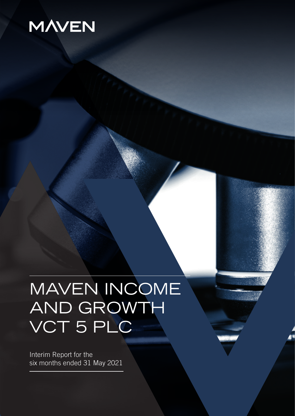# **MAVEN**

# MAVEN INCOME AND GROWTH VCT 5 PLC

Interim Report for the six months ended 31 May 2021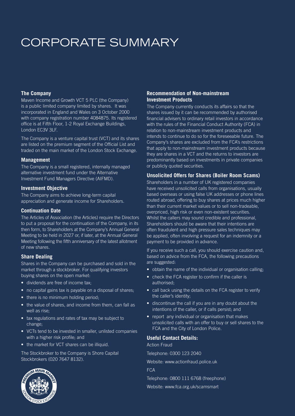## CORPORATE SUMMARY

#### **The Company**

Maven Income and Growth VCT 5 PLC (the Company) is a public limited company limited by shares. It was incorporated in England and Wales on 3 October 2000 with company registration number 4084875. Its registered office is at Fifth Floor, 1-2 Royal Exchange Buildings, London EC3V 3LF.

The Company is a venture capital trust (VCT) and its shares are listed on the premium segment of the Official List and traded on the main market of the London Stock Exchange.

#### **Management**

The Company is a small registered, internally managed alternative investment fund under the Alternative Investment Fund Managers Directive (AIFMD).

#### **Investment Objective**

The Company aims to achieve long-term capital appreciation and generate income for Shareholders.

#### **Continuation Date**

The Articles of Association (the Articles) require the Directors to put a proposal for the continuation of the Company, in its then form, to Shareholders at the Company's Annual General Meeting to be held in 2027 or, if later, at the Annual General Meeting following the fifth anniversary of the latest allotment of new shares.

#### **Share Dealing**

Shares in the Company can be purchased and sold in the market through a stockbroker. For qualifying investors buying shares on the open market:

- dividends are free of income tax;
- no capital gains tax is payable on a disposal of shares;
- there is no minimum holding period;
- the value of shares, and income from them, can fall as well as rise;
- tax regulations and rates of tax may be subject to change;
- VCTs tend to be invested in smaller, unlisted companies with a higher risk profile; and
- the market for VCT shares can be illiquid.

The Stockbroker to the Company is Shore Capital Stockbrokers (020 7647 8132).

#### **Recommendation of Non-mainstream Investment Products**

The Company currently conducts its affairs so that the shares issued by it can be recommended by authorised financial advisers to ordinary retail investors in accordance with the rules of the Financial Conduct Authority (FCA) in relation to non-mainstream investment products and intends to continue to do so for the foreseeable future. The Company's shares are excluded from the FCA's restrictions that apply to non-mainstream investment products because they are shares in a VCT and the returns to investors are predominantly based on investments in private companies or publicly quoted securities.

#### **Unsolicited Offers for Shares (Boiler Room Scams)**

Shareholders in a number of UK registered companies have received unsolicited calls from organisations, usually based overseas or using false UK addresses or phone lines routed abroad, offering to buy shares at prices much higher than their current market values or to sell non-tradeable, overpriced, high risk or even non-existent securities. Whilst the callers may sound credible and professional, Shareholders should be aware that their intentions are often fraudulent and high pressure sales techniques may be applied, often involving a request for an indemnity or a payment to be provided in advance.

If you receive such a call, you should exercise caution and, based on advice from the FCA, the following precautions are suggested:

- obtain the name of the individual or organisation calling;
- check the FCA register to confirm if the caller is authorised;
- call back using the details on the FCA register to verify the caller's identity;
- discontinue the call if you are in any doubt about the intentions of the caller, or if calls persist; and
- report any individual or organisation that makes unsolicited calls with an offer to buy or sell shares to the FCA and the City of London Police.

#### **Useful Contact Details:**

Action Fraud

Telephone: 0300 123 2040

Website: www.actionfraud.police.uk

FCA

Telephone: 0800 111 6768 (freephone)

Website: www.fca.org.uk/scamsmart

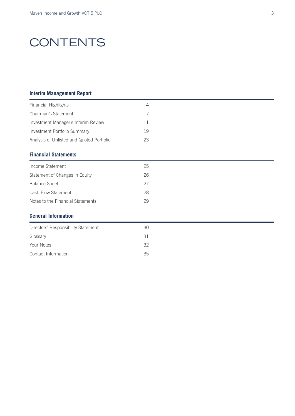## **CONTENTS**

#### **Interim Management Report**

| <b>Financial Highlights</b>               | 4  |
|-------------------------------------------|----|
| Chairman's Statement                      | 7  |
| Investment Manager's Interim Review       | 11 |
| Investment Portfolio Summary              | 19 |
| Analysis of Unlisted and Quoted Portfolio | 23 |
| <b>Financial Statements</b>               |    |

### Income Statement 25 Statement of Changes in Equity 26 Balance Sheet 27 Cash Flow Statement 28 Notes to the Financial Statements 29

#### **General Information**

| Directors' Responsibility Statement | 30 |
|-------------------------------------|----|
| Glossary                            | 31 |
| Your Notes                          | 32 |
| Contact Information                 | 35 |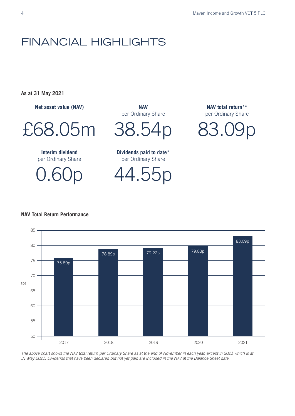### FINANCIAL HIGHLIGHTS

**As at 31 May 2021**

**Net asset value (NAV)** 

£68.05m

**Interim dividend**  per Ordinary Share

0.60p

**NAV**  per Ordinary Share

38.54p

**Dividends paid to date\*** per Ordinary Share

44.55p

**NAV total return <sup>1</sup> \*** per Ordinary Share

83.09p

#### **NAV Total Return Performance** NAV Total Return Performance



*The above chart shows the NAV total return per Ordinary Share as at the end of November in each year, except in 2021 which is at 31 May 2021. Dividends that have been declared but not yet paid are included in the NAV at the Balance Sheet date.*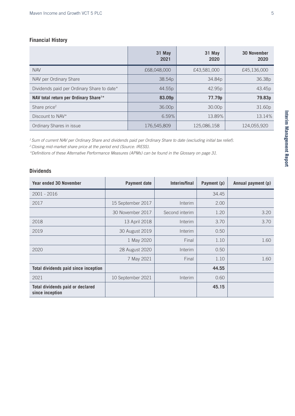#### **Financial History**

|                                                   | 31 May<br>2021 | 31 May<br>2020 | <b>30 November</b><br>2020 |
|---------------------------------------------------|----------------|----------------|----------------------------|
| <b>NAV</b>                                        | £68,048,000    | £43,581,000    | £45,136,000                |
| NAV per Ordinary Share                            | 38.54p         | 34.84p         | 36.38p                     |
| Dividends paid per Ordinary Share to date*        | 44.55p         | 42.95p         | 43.45p                     |
| NAV total return per Ordinary Share <sup>1*</sup> | 83.09p         | 77.79p         | 79.83p                     |
| Share price <sup>2</sup>                          | 36.00p         | 30.00p         | 31.60p                     |
| Discount to NAV*                                  | 6.59%          | 13.89%         | 13.14%                     |
| Ordinary Shares in issue                          | 176,545,809    | 125,086,158    | 124,055,920                |

*1 Sum of current NAV per Ordinary Share and dividends paid per Ordinary Share to date (excluding initial tax relief).*

*2 Closing mid-market share price at the period end (Source: IRESS).*

*\*Definitions of these Alternative Performance Measures (APMs) can be found in the Glossary on page 31.*

#### **Dividends**

| <b>Year ended 30 November</b>                       | Payment date      | Interim/final  | Payment (p) | Annual payment (p) |
|-----------------------------------------------------|-------------------|----------------|-------------|--------------------|
| 2001 - 2016                                         |                   |                | 34.45       |                    |
| 2017                                                | 15 September 2017 | Interim        | 2.00        |                    |
|                                                     | 30 November 2017  | Second interim | 1.20        | 3.20               |
| 2018                                                | 13 April 2018     | Interim        | 3.70        | 3.70               |
| 2019                                                | 30 August 2019    | Interim        | 0.50        |                    |
|                                                     | 1 May 2020        | Final          | 1.10        | 1.60               |
| 2020                                                | 28 August 2020    | Interim        | 0.50        |                    |
|                                                     | 7 May 2021        | Final          | 1.10        | 1.60               |
| Total dividends paid since inception                |                   |                | 44.55       |                    |
| 2021                                                | 10 September 2021 | Interim        | 0.60        |                    |
| Total dividends paid or declared<br>since inception |                   |                | 45.15       |                    |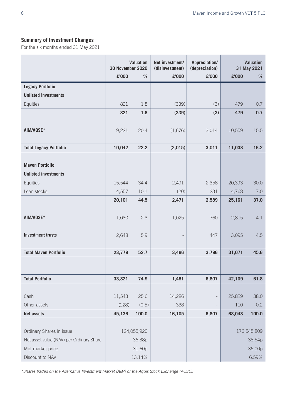#### **Summary of Investment Changes**

For the six months ended 31 May 2021

|                                          | <b>30 November 2020</b> | <b>Valuation</b> | Net investment/<br>Appreciation/<br>(disinvestment)<br>(depreciation) |       | <b>Valuation</b><br>31 May 2021 |             |
|------------------------------------------|-------------------------|------------------|-----------------------------------------------------------------------|-------|---------------------------------|-------------|
|                                          | £'000                   | %                | £'000                                                                 | £'000 | £'000                           | $\%$        |
| <b>Legacy Portfolio</b>                  |                         |                  |                                                                       |       |                                 |             |
| <b>Unlisted investments</b>              |                         |                  |                                                                       |       |                                 |             |
| Equities                                 | 821                     | 1.8              | (339)                                                                 | (3)   | 479                             | 0.7         |
|                                          | 821                     | 1.8              | (339)                                                                 | (3)   | 479                             | 0.7         |
|                                          |                         |                  |                                                                       |       |                                 |             |
| AIM/AQSE*                                | 9,221                   | 20.4             | (1,676)                                                               | 3,014 | 10,559                          | 15.5        |
|                                          |                         |                  |                                                                       |       |                                 |             |
| <b>Total Legacy Portfolio</b>            | 10,042                  | 22.2             | (2,015)                                                               | 3,011 | 11,038                          | 16.2        |
|                                          |                         |                  |                                                                       |       |                                 |             |
| <b>Maven Portfolio</b>                   |                         |                  |                                                                       |       |                                 |             |
| <b>Unlisted investments</b>              |                         |                  |                                                                       |       |                                 |             |
| Equities                                 | 15,544                  | 34.4             | 2,491                                                                 | 2,358 | 20,393                          | 30.0        |
| Loan stocks                              | 4,557                   | 10.1             | (20)                                                                  | 231   | 4,768                           | 7.0         |
|                                          | 20,101                  | 44.5             | 2,471                                                                 | 2,589 | 25,161                          | 37.0        |
|                                          |                         |                  |                                                                       |       |                                 |             |
| AIM/AQSE*                                | 1,030                   | 2.3              | 1,025                                                                 | 760   | 2,815                           | 4.1         |
|                                          |                         |                  |                                                                       |       |                                 |             |
| <b>Investment trusts</b>                 | 2,648                   | 5.9              |                                                                       | 447   | 3,095                           | 4.5         |
| <b>Total Maven Portfolio</b>             | 23,779                  | 52.7             | 3,496                                                                 | 3,796 | 31,071                          | 45.6        |
|                                          |                         |                  |                                                                       |       |                                 |             |
|                                          |                         |                  |                                                                       |       |                                 |             |
| <b>Total Portfolio</b>                   | 33,821                  | 74.9             | 1,481                                                                 | 6,807 | 42,109                          | 61.8        |
|                                          |                         |                  |                                                                       |       |                                 |             |
| Cash                                     | 11,543                  | 25.6             | 14,286                                                                |       | 25,829                          | 38.0        |
| Other assets                             | (228)                   | (0.5)            | 338                                                                   |       | 110                             | 0.2         |
| <b>Net assets</b>                        | 45,136                  | 100.0            | 16,105                                                                | 6,807 | 68,048                          | 100.0       |
|                                          |                         |                  |                                                                       |       |                                 |             |
| Ordinary Shares in issue                 |                         | 124,055,920      |                                                                       |       |                                 | 176,545,809 |
| Net asset value (NAV) per Ordinary Share |                         | 36.38p           |                                                                       |       |                                 | 38.54p      |
| Mid-market price                         |                         | 31.60p           |                                                                       |       |                                 | 36.00p      |
| Discount to NAV                          |                         | 13.14%           |                                                                       |       |                                 | 6.59%       |

*\*Shares traded on the Alternative Investment Market (AIM) or the Aquis Stock Exchange (AQSE).*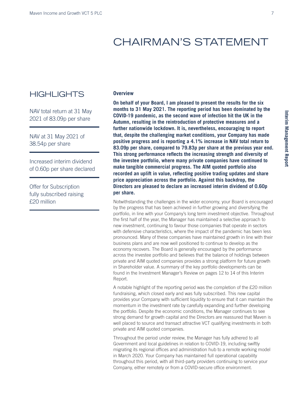### CHAIRMAN'S STATEMENT

### **HIGHLIGHTS**

NAV total return at 31 May 2021 of 83.09p per share

NAV at 31 May 2021 of 38.54p per share

Increased interim dividend of 0.60p per share declared

Offer for Subscription fully subscribed raising £20 million

#### **Overview**

**On behalf of your Board, I am pleased to present the results for the six months to 31 May 2021. The reporting period has been dominated by the COVID-19 pandemic, as the second wave of infection hit the UK in the Autumn, resulting in the reintroduction of protective measures and a further nationwide lockdown. It is, nevertheless, encouraging to report that, despite the challenging market conditions, your Company has made positive progress and is reporting a 4.1% increase in NAV total return to 83.09p per share, compared to 79.83p per share at the previous year end. This strong performance reflects the increasing strength and diversity of the investee portfolio, where many private companies have continued to make tangible commercial progress. The AIM quoted portfolio also recorded an uplift in value, reflecting positive trading updates and share price appreciation across the portfolio. Against this backdrop, the Directors are pleased to declare an increased interim dividend of 0.60p per share.** 

Notwithstanding the challenges in the wider economy, your Board is encouraged by the progress that has been achieved in further growing and diversifying the portfolio, in line with your Company's long term investment objective. Throughout the first half of the year, the Manager has maintained a selective approach to new investment, continuing to favour those companies that operate in sectors with defensive characteristics, where the impact of the pandemic has been less pronounced. Many of these companies have maintained growth in line with their business plans and are now well positioned to continue to develop as the economy recovers. The Board is generally encouraged by the performance across the investee portfolio and believes that the balance of holdings between private and AIM quoted companies provides a strong platform for future growth in Shareholder value. A summary of the key portfolio developments can be found in the Investment Manager's Review on pages 12 to 14 of this Interim Report.

A notable highlight of the reporting period was the completion of the £20 million fundraising, which closed early and was fully subscribed. This new capital provides your Company with sufficient liquidity to ensure that it can maintain the momentum in the investment rate by carefully expanding and further developing the portfolio. Despite the economic conditions, the Manager continues to see strong demand for growth capital and the Directors are reassured that Maven is well placed to source and transact attractive VCT qualifying investments in both private and AIM quoted companies.

Throughout the period under review, the Manager has fully adhered to all Government and local guidelines in relation to COVID-19, including swiftly migrating its regional offices and administration hub to a remote working model in March 2020. Your Company has maintained full operational capability throughout this period, with all third-party providers continuing to service your Company, either remotely or from a COVID-secure office environment.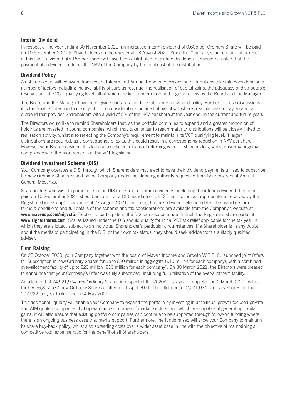#### **Interim Dividend**

In respect of the year ending 30 November 2021, an increased interim dividend of 0.60p per Ordinary Share will be paid on 10 September 2021 to Shareholders on the register at 13 August 2021. Since the Company's launch, and after receipt of this latest dividend, 45.15p per share will have been distributed in tax free dividends. It should be noted that the payment of a dividend reduces the NAV of the Company by the total cost of the distribution.

#### **Dividend Policy**

As Shareholders will be aware from recent Interim and Annual Reports, decisions on distributions take into consideration a number of factors including the availability of surplus revenue, the realisation of capital gains, the adequacy of distributable reserves and the VCT qualifying level, all of which are kept under close and regular review by the Board and the Manager.

The Board and the Manager have been giving consideration to establishing a dividend policy. Further to these discussions, it is the Board's intention that, subject to the considerations outlined above, it will where possible seek to pay an annual dividend that provides Shareholders with a yield of 5% of the NAV per share at the year end, in the current and future years.

The Directors would like to remind Shareholders that, as the portfolio continues to expand and a greater proportion of holdings are invested in young companies, which may take longer to reach maturity, distributions will be closely linked to realisation activity, whilst also reflecting the Company's requirement to maintain its VCT qualifying level. If larger distributions are required, as a consequence of exits, this could result in a corresponding reduction in NAV per share. However, your Board considers this to be a tax efficient means of returning value to Shareholders, whilst ensuring ongoing compliance with the requirements of the VCT legislation.

#### **Dividend Investment Scheme (DIS)**

Your Company operates a DIS, through which Shareholders may elect to have their dividend payments utilised to subscribe for new Ordinary Shares issued by the Company under the standing authority requested from Shareholders at Annual General Meetings.

Shareholders who wish to participate in the DIS in respect of future dividends, including the interim dividend due to be paid on 10 September 2021, should ensure that a DIS mandate or CREST instruction, as appropriate, is received by the Registrar (Link Group) in advance of 27 August 2021, this being the next dividend election date. The mandate form, terms & conditions and full details of the scheme and tax considerations are available from the Company's website at **www.mavencp.com/migvct5**. Election to participate in the DIS can also be made through the Registrar's share portal at **www.signalshares.com**. Shares issued under the DIS should qualify for initial VCT tax relief applicable for the tax year in which they are allotted, subject to an individual Shareholder's particular circumstances. If a Shareholder is in any doubt about the merits of participating in the DIS, or their own tax status, they should seek advice from a suitably qualified adviser.

#### **Fund Raising**

On 23 October 2020, your Company together with the board of Maven Income and Growth VCT PLC, launched joint Offers for Subscription in new Ordinary Shares for up to £20 million in aggregate (£10 million for each company), with a combined over-allotment facility of up to £20 million (£10 million for each company). On 30 March 2021, the Directors were pleased to announce that your Company's Offer was fully subscribed, including full utilisation of the over-allotment facility.

An allotment of 24,921,994 new Ordinary Shares in respect of the 2020/21 tax year completed on 2 March 2021, with a further 26,817,537 new Ordinary Shares allotted on 1 April 2021. The allotment of 2,071,074 Ordinary Shares for the 2021/22 tax year took place on 4 May 2021.

This additional liquidity will enable your Company to expand the portfolio by investing in ambitious, growth focused private and AIM quoted companies that operate across a range of market sectors, and which are capable of generating capital gains. It will also ensure that existing portfolio companies can continue to be supported through follow-on funding where there is an ongoing business case that merits support. Furthermore, the funds raised will allow your Company to maintain its share buy-back policy, whilst also spreading costs over a wider asset base in line with the objective of maintaining a competitive total expense ratio for the benefit of all Shareholders.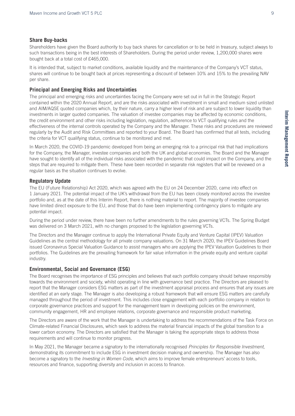#### **Share Buy-backs**

Shareholders have given the Board authority to buy back shares for cancellation or to be held in treasury, subject always to such transactions being in the best interests of Shareholders. During the period under review, 1,200,000 shares were bought back at a total cost of £465,000.

It is intended that, subject to market conditions, available liquidity and the maintenance of the Company's VCT status, shares will continue to be bought back at prices representing a discount of between 10% and 15% to the prevailing NAV per share.

#### **Principal and Emerging Risks and Uncertainties**

The principal and emerging risks and uncertainties facing the Company were set out in full in the Strategic Report contained within the 2020 Annual Report, and are the risks associated with investment in small and medium sized unlisted and AIM/AQSE quoted companies which, by their nature, carry a higher level of risk and are subject to lower liquidity than investments in larger quoted companies. The valuation of investee companies may be affected by economic conditions, the credit environment and other risks including legislation, regulation, adherence to VCT qualifying rules and the effectiveness of the internal controls operated by the Company and the Manager. These risks and procedures are reviewed regularly by the Audit and Risk Committees and reported to your Board. The Board has confirmed that all tests, including the criteria for VCT qualifying status, continue to be monitored and met.

In March 2020, the COVID-19 pandemic developed from being an emerging risk to a principal risk that had implications for the Company, the Manager, investee companies and both the UK and global economies. The Board and the Manager have sought to identify all of the individual risks associated with the pandemic that could impact on the Company, and the steps that are required to mitigate them. These have been recorded in separate risk registers that will be reviewed on a regular basis as the situation continues to evolve.

#### **Regulatory Update**

The EU (Future Relationship) Act 2020, which was agreed with the EU on 24 December 2020, came into effect on 1 January 2021. The potential impact of the UK's withdrawal from the EU has been closely monitored across the investee portfolio and, as at the date of this Interim Report, there is nothing material to report. The majority of investee companies have limited direct exposure to the EU, and those that do have been implementing contingency plans to mitigate any potential impact.

During the period under review, there have been no further amendments to the rules governing VCTs. The Spring Budget was delivered on 3 March 2021, with no changes proposed to the legislation governing VCTs.

The Directors and the Manager continue to apply the International Private Equity and Venture Capital (IPEV) Valuation Guidelines as the central methodology for all private company valuations. On 31 March 2020, the IPEV Guidelines Board issued Coronavirus Special Valuation Guidance to assist managers who are applying the IPEV Valuation Guidelines to their portfolios. The Guidelines are the prevailing framework for fair value information in the private equity and venture capital industry.

#### **Environmental, Social and Governance (ESG)**

The Board recognises the importance of ESG principles and believes that each portfolio company should behave responsibly towards the environment and society, whilst operating in line with governance best practice. The Directors are pleased to report that the Manager considers ESG matters as part of the investment appraisal process and ensures that any issues are identified at an early stage. The Manager is also developing a robust framework that will ensure ESG matters are carefully managed throughout the period of investment. This includes close engagement with each portfolio company in relation to corporate governance practices and support for the management team in developing policies on the environment, community engagement, HR and employee relations, corporate governance and responsible product marketing.

The Directors are aware of the work that the Manager is undertaking to address the recommendations of the Task Force on Climate-related Financial Disclosures, which seek to address the material financial impacts of the global transition to a lower carbon economy. The Directors are satisfied that the Manager is taking the appropriate steps to address those requirements and will continue to monitor progress.

In May 2021, the Manager became a signatory to the internationally recognised *Principles for Responsible Investment*, demonstrating its commitment to include ESG in investment decision making and ownership. The Manager has also become a signatory to the *Investing in Women Code*, which aims to improve female entrepreneurs' access to tools, resources and finance, supporting diversity and inclusion in access to finance.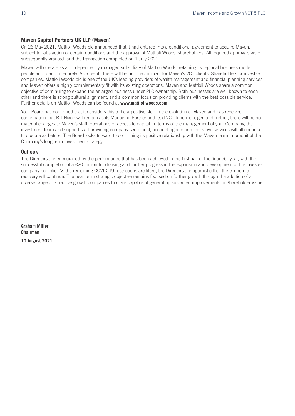#### **Maven Capital Partners UK LLP (Maven)**

On 26 May 2021, Mattioli Woods plc announced that it had entered into a conditional agreement to acquire Maven, subject to satisfaction of certain conditions and the approval of Mattioli Woods' shareholders. All required approvals were subsequently granted, and the transaction completed on 1 July 2021.

Maven will operate as an independently managed subsidiary of Mattioli Woods, retaining its regional business model, people and brand in entirety. As a result, there will be no direct impact for Maven's VCT clients, Shareholders or investee companies. Mattioli Woods plc is one of the UK's leading providers of wealth management and financial planning services and Maven offers a highly complementary fit with its existing operations. Maven and Mattioli Woods share a common objective of continuing to expand the enlarged business under PLC ownership. Both businesses are well known to each other and there is strong cultural alignment, and a common focus on providing clients with the best possible service. Further details on Mattioli Woods can be found at **www.mattioliwoods.com**.

Your Board has confirmed that it considers this to be a positive step in the evolution of Maven and has received confirmation that Bill Nixon will remain as its Managing Partner and lead VCT fund manager, and further, there will be no material changes to Maven's staff, operations or access to capital. In terms of the management of your Company, the investment team and support staff providing company secretarial, accounting and administrative services will all continue to operate as before. The Board looks forward to continuing its positive relationship with the Maven team in pursuit of the Company's long term investment strategy.

#### **Outlook**

The Directors are encouraged by the performance that has been achieved in the first half of the financial year, with the successful completion of a £20 million fundraising and further progress in the expansion and development of the investee company portfolio. As the remaining COVID-19 restrictions are lifted, the Directors are optimistic that the economic recovery will continue. The near term strategic objective remains focused on further growth through the addition of a diverse range of attractive growth companies that are capable of generating sustained improvements in Shareholder value.

**Graham Miller Chairman 10 August 2021**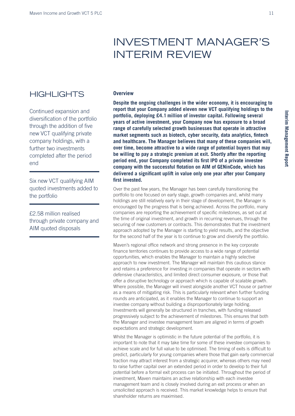### INVESTMENT MANAGER'S INTERIM REVIEW

### **HIGHLIGHTS**

Continued expansion and diversification of the portfolio through the addition of five new VCT qualifying private company holdings, with a further two investments completed after the period end

Six new VCT qualifying AIM quoted investments added to the portfolio

£2.58 million realised through private company and AIM quoted disposals

#### **Overview**

**Despite the ongoing challenges in the wider economy, it is encouraging to report that your Company added eleven new VCT qualifying holdings to the portfolio, deploying £4.1 million of investor capital. Following several years of active investment, your Company now has exposure to a broad range of carefully selected growth businesses that operate in attractive market segments such as biotech, cyber security, data analytics, fintech and healthcare. The Manager believes that many of these companies will, over time, become attractive to a wide range of potential buyers that may be willing to pay a strategic premium at exit. Shortly after the reporting period end, your Company completed its first IPO of a private investee company with the successful flotation on AIM of GENinCode, which has delivered a significant uplift in value only one year after your Company first invested.** 

Over the past few years, the Manager has been carefully transitioning the portfolio to one focused on early stage, growth companies and, whilst many holdings are still relatively early in their stage of development, the Manager is encouraged by the progress that is being achieved. Across the portfolio, many companies are reporting the achievement of specific milestones, as set out at the time of original investment, and growth in recurring revenues, through the securing of new customers or contracts. This demonstrates that the investment approach adopted by the Manager is starting to yield results, and the objective for the second half of the year is to continue to grow and diversify the portfolio.

Maven's regional office network and strong presence in the key corporate finance territories continues to provide access to a wide range of potential opportunities, which enables the Manager to maintain a highly selective approach to new investment. The Manager will maintain this cautious stance and retains a preference for investing in companies that operate in sectors with defensive characteristics, and limited direct consumer exposure, or those that offer a disruptive technology or approach which is capable of scalable growth. Where possible, the Manager will invest alongside another VCT house or partner as a means of mitigating risk. This is particularly relevant when further funding rounds are anticipated, as it enables the Manager to continue to support an investee company without building a disproportionately large holding. Investments will generally be structured in tranches, with funding released progressively subject to the achievement of milestones. This ensures that both the Manager and investee management team are aligned in terms of growth expectations and strategic development.

Whilst the Manager is optimistic in the future potential of the portfolio, it is important to note that it may take time for some of these investee companies to achieve scale and for full value to be optimised. The timing of exits is difficult to predict, particularly for young companies where those that gain early commercial traction may attract interest from a strategic acquirer, whereas others may need to raise further capital over an extended period in order to develop to their full potential before a formal exit process can be initiated. Throughout the period of investment, Maven maintains an active relationship with each investee management team and is closely involved during an exit process or when an unsolicited approach is received. This market knowledge helps to ensure that shareholder returns are maximised.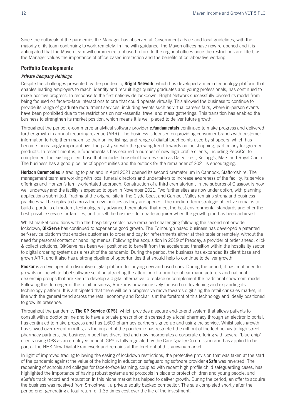Since the outbreak of the pandemic, the Manager has observed all Government advice and local guidelines, with the majority of its team continuing to work remotely. In line with guidance, the Maven offices have now re-opened and it is anticipated that the Maven team will commence a phased return to the regional offices once the restrictions are lifted, as the Manager values the importance of office based interaction and the benefits of collaborative working.

#### **Portfolio Developments**

#### *Private Company Holdings*

Despite the challenges presented by the pandemic, **Bright Network**, which has developed a media technology platform that enables leading employers to reach, identify and recruit high quality graduates and young professionals, has continued to make positive progress. In response to the first nationwide lockdown, Bright Network successfully pivoted its model from being focused on face-to-face interactions to one that could operate virtually. This allowed the business to continue to provide its range of graduate recruitment services, including events such as virtual careers fairs, where in-person events have been prohibited due to the restrictions on non-essential travel and mass gatherings. This transition has enabled the business to strengthen its market position, which means it is well placed to deliver future growth.

Throughout the period, e-commerce analytical software provider **e.fundamentals** continued to make progress and delivered further growth in annual recurring revenue (ARR). The business is focused on providing consumer brands with customer information to help them maximise their online listings and range of digital touchpoints used by shoppers, which has become increasingly important over the past year with the growing trend towards online shopping, particularly for grocery products. In recent months, e.fundamentals has secured a number of new high profile clients, including PepsiCo, to complement the existing client base that includes household names such as Dairy Crest, Kellogg's, Mars and Royal Canin. The business has a good pipeline of opportunities and the outlook for the remainder of 2021 is encouraging.

**Horizon Ceremonies** is trading to plan and in April 2021 opened its second crematorium in Cannock, Staffordshire. The management team are working with local funeral directors and undertakers to increase awareness of the facility, its service offerings and Horizon's family-orientated approach. Construction of a third crematorium, in the suburbs of Glasgow, is now well underway and the facility is expected to open in November 2021. Two further sites are now under option, with planning applications submitted. Trading at the original site in the Clyde Coast and Garnock Valley remains strong and business practices will be replicated across the new facilities as they are opened. The medium-term strategic objective remains to build a portfolio of modern, technologically advanced crematoria that meet the best environmental standards and offer the best possible service for families, and to sell the business to a trade acquirer when the growth plan has been achieved.

Whilst market conditions within the hospitality sector have remained challenging following the second nationwide lockdown, **QikServe** has continued to experience good growth. The Edinburgh based business has developed a patented self-service platform that enables customers to order and pay for refreshments either at their table or remotely, without the need for personal contact or handling menus. Following the acquisition in 2019 of Preoday, a provider of order ahead, click & collect solutions, QikServe has been well positioned to benefit from the accelerated transition within the hospitality sector to digital ordering systems as a result of the pandemic. During the period, the business has expanded its client base and grown ARR, and it also has a strong pipeline of opportunities that should help to continue to deliver growth.

**Rockar** is a developer of a disruptive digital platform for buying new and used cars. During the period, it has continued to grow its online white label software solution attracting the attention of a number of car manufacturers and national dealership groups that are keen to develop a digital alternative to replace or complement the traditional showroom model. Following the demerger of the retail business, Rockar is now exclusively focused on developing and expanding its technology platform. It is anticipated that there will be a progressive move towards digitising the retail car sales market, in line with the general trend across the retail economy and Rockar is at the forefront of this technology and ideally positioned to grow its presence.

Throughout the pandemic, **The GP Service (GPS)**, which provides a secure end-to-end system that allows patients to consult with a doctor online and to have a private prescription dispensed by a local pharmacy through an electronic portal, has continued to make progress and has 1,600 pharmacy partners signed up and using the service. Whilst sales growth has slowed over recent months, as the impact of the pandemic has restricted the roll-out of the technology to high street pharmacy partners, the business model has diversified and now incorporates a corporate offering with several 'blue-chip' clients using GPS as an employee benefit. GPS is fully regulated by the Care Quality Commission and has applied to be part of the NHS New Digital Framework and remains at the forefront of this growing market.

In light of improved trading following the easing of lockdown restrictions, the protective provision that was taken at the start of the pandemic against the value of the holding in education safeguarding software provider **eSafe** was reversed. The reopening of schools and colleges for face-to-face learning, coupled with recent high profile child safeguarding cases, has highlighted the importance of having robust systems and protocols in place to protect children and young people, and eSafe's track record and reputation in this niche market has helped to deliver growth. During the period, an offer to acquire the business was received from Smoothwall, a private equity backed competitor. The sale completed shortly after the period end, generating a total return of 1.35 times cost over the life of the investment.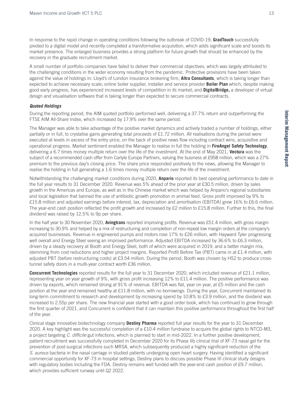In response to the rapid change in operating conditions following the outbreak of COVID-19, **GradTouch** successfully pivoted to a digital model and recently completed a transformative acquisition, which adds significant scale and boosts its market presence. The enlarged business provides a strong platform for future growth that should be enhanced by the recovery in the graduate recruitment market.

A small number of portfolio companies have failed to deliver their commercial objectives, which was largely attributed to the challenging conditions in the wider economy resulting from the pandemic. Protective provisions have been taken against the value of holdings in: Lloyd's of London insurance brokering firm, **Altra Consultants**, which is taking longer than expected to achieve necessary scale; online boiler supplier, installer and service provider **Boiler Plan** which, despite making good early progress, has experienced increased levels of competition in its market; and **DigitalBridge,** a developer of virtual design and visualisation software that is taking longer than expected to secure commercial contracts.

#### *Quoted Holdings*

During the reporting period, the AIM quoted portfolio performed well, delivering a 37.7% return and outperforming the FTSE AIM All-Share Index, which increased by 17.9% over the same period.

The Manager was able to take advantage of the positive market dynamics and actively traded a number of holdings, either partially or in full, to crystalise gains generating total proceeds of £1.72 million. All realisations during the period were executed at levels in excess of the entry price, on the back of positive news flow including contract wins, acquisitive and operational progress. Market sentiment enabled the Manager to realise in full the holding in **FireAngel Safety Technology**, delivering a 6.7 times money multiple return over the life of the investment. At the end of May 2021, **Vectura** was the subject of a recommended cash offer from Carlyle Europe Partners, valuing the business at £958 million, which was a 27% premium to the previous day's closing price. The share price responded positively to the news, allowing the Manager to realise the holding in full generating a 1.6 times money multiple return over the life of the investment.

Notwithstanding the challenging market conditions during 2020, **Anpario** reported its best operating performance to date in the full year results to 31 December 2020. Revenue was 5% ahead of the prior year at £30.5 million, driven by sales growth in the Americas and Europe, as well as in the Chinese market which was helped by Anpario's regional subsidiaries and local legislation that banned the use of antibiotic growth promotion in animal feed. Gross profit improved by 9% to £15.8 million and adjusted earnings before interest, tax, depreciation and amortisation (EBITDA) grew 16% to £6.6 million. The year-end cash position reflected the profit growth and increased by £2 million to £15.8 million. Further to this, the final dividend was raised by 12.5% to 9p per share.

In the half year to 30 November 2020, **Avingtrans** reported improving profits. Revenue was £51.4 million, with gross margin increasing to 30.9% and helped by a mix of restructuring and completion of non-repeat low margin orders at the company's acquired businesses. Revenue in engineered pumps and motors rose 17% to £26 million, with Hayward Tyler progressing well overall and Energy Steel seeing an improved performance. Adjusted EBITDA increased by 36.6% to £6.3 million, driven by a steady recovery at Booth and Energy Steel, both of which were acquired in 2019, and a better margin mix, stemming from cost reductions and higher project margins. Reported Profit Before Tax (PBT) came in at £1.4 million, with adjusted PBT (before restructuring costs) at £3.54 million. During the period, Booth was chosen by HS2 to produce crosstunnel safety doors in a multi-year contract worth £36 million.

**Concurrent Technologies** reported results for the full year to 31 December 2020, which included revenue of £21.1 million, representing year on year growth of 9%, with gross profit increasing 12% to £11.4 million. The positive performance was driven by exports, which remained strong at 91% of revenue. EBITDA was flat, year on year, at £5 million and the cash position at the year end remained healthy at £11.8 million, with no borrowings. During the year, Concurrent maintained its long-term commitment to research and development by increasing spend by 10.8% to £3.9 million, and the dividend was increased to 2.55p per share. The new financial year started with a good order book, which has continued to grow through the first quarter of 2021, and Concurrent is confident that it can maintain this positive performance throughout the first half of the year.

Clinical stage innovative biotechnology company **Destiny Pharma** reported full year results for the year to 31 December 2020. A key highlight was the successful completion of a £10.4 million fundraise to acquire the global rights to NTCD-M3, a project targeting *C. difficile* gut infections, which is planned to start in mid-2022. In a further positive development, patient recruitment was successfully completed in December 2020 for its Phase IIb clinical trial of XF-73 nasal gel for the prevention of post-surgical infections such MRSA, which subsequently produced a highly significant reduction of the *S. aureus* bacteria in the nasal carriage in studied patients undergoing open heart surgery. Having identified a significant commercial opportunity for XF-73 in hospital settings, Destiny plans to discuss possible Phase III clinical study designs with regulatory bodies including the FDA. Destiny remains well funded with the year-end cash position of £9.7 million, which provides sufficient runway until Q2 2022.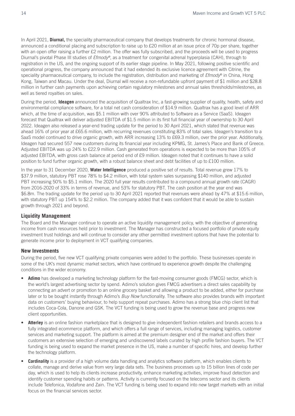In April 2021, **Diurnal,** the speciality pharmaceutical company that develops treatments for chronic hormonal disease, announced a conditional placing and subscription to raise up to £20 million at an issue price of 70p per share, together with an open offer raising a further £2 million. The offer was fully subscribed, and the proceeds will be used to progress Diurnal's pivotal Phase III studies of *Efmody®*, as a treatment for congenital adrenal hyperplasia (CAH), through to registration in the US, and the ongoing support of its earlier stage pipeline. In May 2021, following positive scientific and operational progress, the company announced that it had extended its exclusive licence agreement with Citrine, the speciality pharmaceutical company, to include the registration, distribution and marketing of *Efmody*® in China, Hong Kong, Taiwan and Macau. Under the deal, Diurnal will receive a non-refundable upfront payment of \$1 million and \$28.8 million in further cash payments upon achieving certain regulatory milestones and annual sales thresholds/milestones, as well as tiered royalties on sales.

During the period, **Ideagen** announced the acquisition of Qualtrax Inc, a fast-growing supplier of quality, health, safety and environmental compliance software, for a total net cash consideration of \$14.9 million. Qualtrax has a good level of ARR which, at the time of acquisition, was \$5.1 million with over 90% attributed to Software as a Service (SaaS). Ideagen forecast that Qualtrax will deliver adjusted EBITDA of \$1.5 million in its first full financial year of ownership to 30 April 2022. Ideagen also released a year-end trading update for the period to 30 April 2021, which stated that revenue was ahead 16% of prior year at £65.6 million, with recurring revenues constituting 83% of total sales. Ideagen's transition to a SaaS model continued to drive organic growth, with ARR increasing 13% to £69.3 million, over the prior year. Additionally, Ideagen had secured 557 new customers during its financial year including KPMG, St. James's Place and Bank of Greece. Adjusted EBITDA was up 24% to £22.9 million. Cash generated from operations is expected to be more than 105% of adjusted EBITDA, with gross cash balance at period end of £9 million. Ideagen noted that it continues to have a solid position to fund further organic growth, with a robust balance sheet and debt facilities of up to £100 million.

In the year to 31 December 2020, **Water Intelligence** produced a positive set of results. Total revenue grew 17% to \$37.9 million, statutory PBT rose 78% to \$4.2 million, with total system sales surpassing \$140 million, and adjusted PBT increasing 50% to \$5.1 million. The 2020 full year results contributed to a compound annual growth rate (CAGR) from 2016-2020 of 33% in terms of revenue, and 53% for statutory PBT. The cash position at the year end was \$6.8m. The trading update for the period up to 30 April 2021 reported that revenues were ahead by 47% at \$15.6 million, with statutory PBT up 154% to \$2.2 million. The company added that it was confident that it would be able to sustain growth through 2021 and beyond.

#### **Liquidity Management**

The Board and the Manager continue to operate an active liquidity management policy, with the objective of generating income from cash resources held prior to investment. The Manager has constructed a focused portfolio of private equity investment trust holdings and will continue to consider any other permitted investment options that have the potential to generate income prior to deployment in VCT qualifying companies.

#### **New Investments**

During the period, five new VCT qualifying private companies were added to the portfolio. These businesses operate in some of the UK's most dynamic market sectors, which have continued to experience growth despite the challenging conditions in the wider economy.

- **Adimo** has developed a marketing technology platform for the fast-moving consumer goods (FMCG) sector, which is the world's largest advertising sector by spend. Adimo's solution gives FMCG advertisers a direct sales capability by connecting an advert or promotion to an online grocery basket and allowing a product to be added, either for purchase later or to be bought instantly through Adimo's *Buy Now* functionality. The software also provides brands with important data on customers' buying behaviour, to help support repeat purchases. Adimo has a strong blue chip client list that includes Coca-Cola, Danone and GSK. The VCT funding is being used to grow the revenue base and progress new client opportunities.
- **Atterley** is an online fashion marketplace that is designed to give independent fashion retailers and brands access to a fully integrated ecommerce platform, and which offers a full range of services, including managing logistics, customer services and marketing support. The platform is aimed at the premium designer end of the market and offers their customers an extensive selection of emerging and undiscovered labels curated by high profile fashion buyers. The VCT funding is being used to expand the market presence in the US, make a number of specific hires, and develop further the technology platform.
- **Cardinality** is a provider of a high volume data handling and analytics software platform, which enables clients to collate, manage and derive value from very large data sets. The business processes up to 15 billion lines of code per day, which is used to help its clients increase productivity, enhance marketing activities, improve fraud detection and identify customer spending habits or patterns. Activity is currently focused on the telecoms sector and its clients include Telefonica, Vodafone and Zain. The VCT funding is being used to expand into new target markets with an initial focus on the financial services sector.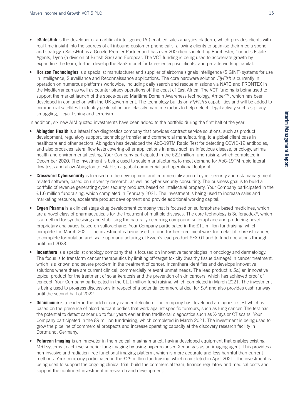- **eSalesHub** is the developer of an artificial intelligence (AI) enabled sales analytics platform, which provides clients with real time insight into the sources of all inbound customer phone calls, allowing clients to optimise their media spend and strategy. eSalesHub is a Google Premier Partner and has over 200 clients including Barchester, Connells Estate Agents, Dyno (a division of British Gas) and Europcar. The VCT funding is being used to accelerate growth by expanding the team, further develop the SaaS model for larger enterprise clients, and provide working capital.
- **Horizon Technologies** is a specialist manufacturer and supplier of airborne signals intelligence (SIGINT) systems for use in Intelligence, Surveillance and Reconnaissance applications. The core hardware solution *FlyFish* is currently in operation on numerous platforms worldwide, including daily search and rescue missions via NATO and FRONTEX in the Mediterranean as well as counter piracy operations off the coast of East Africa. The VCT funding is being used to support the market launch of the space-based Maritime Domain Awareness technology, Amber™*,* which has been developed in conjunction with the UK government. The technology builds on *FlyFish's* capabilities and will be added to commercial satellites to identify geolocation and classify maritime radars to help detect illegal activity such as piracy, smuggling, illegal fishing and terrorism.

In addition, six new AIM quoted investments have been added to the portfolio during the first half of the year:

- **Abingdon Health** is a lateral flow diagnostics company that provides contract service solutions, such as product development, regulatory support, technology transfer and commercial manufacturing, to a global client base in healthcare and other sectors. Abingdon has developed the AbC-19TM Rapid Test for detecting COVID-19 antibodies, and also produces lateral flow tests covering other applications in areas such as infectious disease, oncology, animal health and environmental testing. Your Company participated in the £22 million fund raising, which completed in December 2020. The investment is being used to scale manufacturing to meet demand for AbC-19TM rapid lateral flow tests and allow Abingdon to establish a global commercial and operational footprint.
- **Crossword Cybersecurity** is focused on the development and commercialisation of cyber security and risk management related software, based on university research, as well as cyber security consulting. The business goal is to build a portfolio of revenue generating cyber security products based on intellectual property. Your Company participated in the £1.6 million fundraising, which completed in February 2021. The investment is being used to increase sales and marketing resource, accelerate product development and provide additional working capital.
- **Evgen Pharma** is a clinical stage drug development company that is focused on sulforaphane based medicines, which are a novel class of pharmaceuticals for the treatment of multiple diseases. The core technology is Sulforaedex<sup>®</sup>, which is a method for synthesising and stabilising the naturally occurring compound sulforaphane and producing novel proprietary analogues based on sulforaphane. Your Company participated in the £11 million fundraising, which completed in March 2021. The investment is being used to fund further preclinical work for metastatic breast cancer, to complete formulation and scale up manufacturing of Evgen's lead product SFX-01 and to fund operations through until mid-2023.
- **Incanthera** is a specialist oncology company that is focused on innovative technologies in oncology and dermatology. The focus is to transform cancer therapeutics by limiting off-target toxicity (healthy tissue damage) in cancer treatment, which is a known and severe problem in the treatment of cancer. Incanthera identifies and develops innovative solutions where there are current clinical, commercially relevant unmet needs. The lead product is *Sol*, an innovative topical product for the treatment of solar keratosis and the prevention of skin cancers, which has achieved proof of concept. Your Company participated in the £1.1 million fund raising, which completed in March 2021. The investment is being used to progress discussions in respect of a potential commercial deal for *Sol*, and also provides cash runway until the second half of 2022.
- **Oncimmune** is a leader in the field of early cancer detection. The company has developed a diagnostic test which is based on the presence of blood autoantibodies that work against specific tumours, such as lung cancer. The test has the potential to detect cancer up to four years earlier than traditional diagnostics such as X-rays or CT scans. Your Company participated in the £9 million fundraising, which completed in March 2021. The investment is being used to grow the pipeline of commercial prospects and increase operating capacity at the discovery research facility in Dortmund, Germany.
- **Polarean Imaging** is an innovator in the medical imaging market, having developed equipment that enables existing MRI systems to achieve superior lung imaging by using hyperpolarised Xenon gas as an imaging agent. This provides a non-invasive and radiation-free functional imaging platform, which is more accurate and less harmful than current methods. Your company participated in the £25 million fundraising, which completed in April 2021. The investment is being used to support the ongoing clinical trial, build the commercial team, finance regulatory and medical costs and support the continued investment in research and development.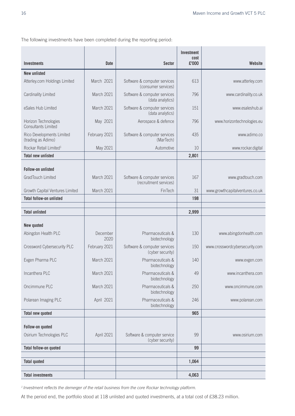The following investments have been completed during the reporting period:

|                                                    |                  |                                                        | <b>Investment</b><br>cost |                                 |
|----------------------------------------------------|------------------|--------------------------------------------------------|---------------------------|---------------------------------|
| <b>Investments</b>                                 | <b>Date</b>      | <b>Sector</b>                                          | £'000                     | Website                         |
| <b>New unlisted</b>                                |                  |                                                        |                           |                                 |
| Atterley.com Holdings Limited                      | March 2021       | Software & computer services<br>(consumer services)    | 613                       | www.atterley.com                |
| Cardinality Limited                                | March 2021       | Software & computer services<br>(data analytics)       | 796                       | www.cardinality.co.uk           |
| eSales Hub Limited                                 | March 2021       | Software & computer services<br>(data analytics)       | 151                       | www.esaleshub.ai                |
| Horizon Technologies<br><b>Consultants Limited</b> | May 2021         | Aerospace & defence                                    | 796                       | www.horizontechnologies.eu      |
| Rico Developments Limited<br>(trading as Adimo)    | February 2021    | Software & computer services<br>(MarTech)              | 435                       | www.adimo.co                    |
| Rockar Retail Limited <sup>1</sup>                 | May 2021         | Automotive                                             | 10                        | www.rockar.digital              |
| <b>Total new unlisted</b>                          |                  |                                                        | 2,801                     |                                 |
| <b>Follow-on unlisted</b>                          |                  |                                                        |                           |                                 |
| <b>GradTouch Limited</b>                           | March 2021       | Software & computer services<br>(recruitment services) | 167                       | www.gradtouch.com               |
| Growth Capital Ventures Limited                    | March 2021       | FinTech                                                | 31                        | www.growthcapitalventures.co.uk |
| <b>Total follow-on unlisted</b>                    |                  |                                                        | 198                       |                                 |
|                                                    |                  |                                                        |                           |                                 |
| <b>Total unlisted</b>                              |                  |                                                        | 2,999                     |                                 |
| New quoted                                         |                  |                                                        |                           |                                 |
| Abingdon Health PLC                                | December<br>2020 | Pharmaceuticals &<br>biotechnology                     | 130                       | www.abingdonhealth.com          |
| Crossword Cybersecurity PLC                        | February 2021    | Software & computer services<br>(cyber security)       | 150                       | www.crosswordcybersecurity.com  |
| Evgen Pharma PLC                                   | March 2021       | Pharmaceuticals &<br>biotechnology                     | 140                       | www.evgen.com                   |
| Incanthera PLC                                     | March 2021       | Pharmaceuticals &<br>biotechnology                     | 49                        | www.incanthera.com              |
| Oncimmune PLC                                      | March 2021       | Pharmaceuticals &<br>biotechnology                     | 250                       | www.oncimmune.com               |
| Polarean Imaging PLC                               | April 2021       | Pharmaceuticals &<br>biotechnology                     | 246                       | www.polarean.com                |
| <b>Total new quoted</b>                            |                  |                                                        | 965                       |                                 |
|                                                    |                  |                                                        |                           |                                 |
| Follow-on quoted                                   |                  |                                                        |                           |                                 |
| Osirium Technologies PLC                           | April 2021       | Software & computer service<br>(cyber security)        | 99                        | www.osirium.com                 |
| <b>Total follow-on quoted</b>                      |                  |                                                        | 99                        |                                 |
| <b>Total quoted</b>                                |                  |                                                        | 1,064                     |                                 |
| <b>Total investments</b>                           |                  |                                                        | 4,063                     |                                 |

*1 Investment reflects the demerger of the retail business from the core Rockar technology platform.* 

At the period end, the portfolio stood at 118 unlisted and quoted investments, at a total cost of £38.23 million.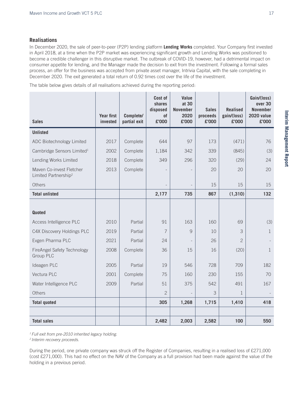#### **Realisations**

In December 2020, the sale of peer-to-peer (P2P) lending platform **Lending Works** completed. Your Company first invested in April 2018, at a time when the P2P market was experiencing significant growth and Lending Works was positioned to become a credible challenger in this disruptive market. The outbreak of COVID-19, however, had a detrimental impact on consumer appetite for lending, and the Manager made the decision to exit from the investment. Following a formal sales process, an offer for the business was accepted from private asset manager, Intrivia Capital, with the sale completing in December 2020. The exit generated a total return of 0.92 times cost over the life of the investment.

The table below gives details of all realisations achieved during the reporting period:

| <b>Sales</b>                                                 | <b>Year first</b><br>invested | Complete/<br>partial exit | Cost of<br>shares<br>disposed<br>of<br>£'000 | Value<br>at 30<br><b>November</b><br>2020<br>£'000 | <b>Sales</b><br>proceeds<br>£'000 | <b>Realised</b><br>gain/(loss)<br>£'000 | Gain/(loss)<br>over 30<br><b>November</b><br><b>2020 value</b><br>£'000 |
|--------------------------------------------------------------|-------------------------------|---------------------------|----------------------------------------------|----------------------------------------------------|-----------------------------------|-----------------------------------------|-------------------------------------------------------------------------|
| <b>Unlisted</b>                                              |                               |                           |                                              |                                                    |                                   |                                         |                                                                         |
| ADC Biotechnology Limited                                    | 2017                          | Complete                  | 644                                          | 97                                                 | 173                               | (471)                                   | 76                                                                      |
| Cambridge Sensors Limited <sup>1</sup>                       | 2002                          | Complete                  | 1,184                                        | 342                                                | 339                               | (845)                                   | (3)                                                                     |
| Lending Works Limited                                        | 2018                          | Complete                  | 349                                          | 296                                                | 320                               | (29)                                    | 24                                                                      |
| Maven Co-invest Fletcher<br>Limited Partnership <sup>2</sup> | 2013                          | Complete                  |                                              |                                                    | 20                                | 20                                      | 20                                                                      |
| Others                                                       |                               |                           |                                              |                                                    | 15                                | 15                                      | 15                                                                      |
| <b>Total unlisted</b>                                        |                               |                           | 2,177                                        | 735                                                | 867                               | (1, 310)                                | 132                                                                     |
|                                                              |                               |                           |                                              |                                                    |                                   |                                         |                                                                         |
| <b>Quoted</b>                                                |                               |                           |                                              |                                                    |                                   |                                         |                                                                         |
| Access Intelligence PLC                                      | 2010                          | Partial                   | 91                                           | 163                                                | 160                               | 69                                      | (3)                                                                     |
| C4X Discovery Holdings PLC                                   | 2019                          | Partial                   | 7                                            | 9                                                  | 10                                | 3                                       | $\mathbf{1}$                                                            |
| Evgen Pharma PLC                                             | 2021                          | Partial                   | 24                                           |                                                    | 26                                | $\overline{c}$                          |                                                                         |
| <b>FireAngel Safety Technology</b><br><b>Group PLC</b>       | 2008                          | Complete                  | 36                                           | 15                                                 | 16                                | (20)                                    | $\mathbf{1}$                                                            |
| Ideagen PLC                                                  | 2005                          | Partial                   | 19                                           | 546                                                | 728                               | 709                                     | 182                                                                     |
| Vectura PLC                                                  | 2001                          | Complete                  | 75                                           | 160                                                | 230                               | 155                                     | 70                                                                      |
| Water Intelligence PLC                                       | 2009                          | Partial                   | 51                                           | 375                                                | 542                               | 491                                     | 167                                                                     |
| Others                                                       |                               |                           | $\overline{2}$                               |                                                    | 3                                 | $\mathbf{1}$                            |                                                                         |
| <b>Total quoted</b>                                          |                               |                           | 305                                          | 1,268                                              | 1,715                             | 1,410                                   | 418                                                                     |
|                                                              |                               |                           |                                              |                                                    |                                   |                                         |                                                                         |
| <b>Total sales</b>                                           |                               |                           | 2,482                                        | 2,003                                              | 2,582                             | 100                                     | 550                                                                     |

*1 Full exit from pre-2010 inherited legacy holding.*

*<sup>2</sup> Interim recovery proceeds.*

During the period, one private company was struck off the Register of Companies, resulting in a realised loss of £271,000 (cost £271,000). This had no effect on the NAV of the Company as a full provision had been made against the value of the holding in a previous period.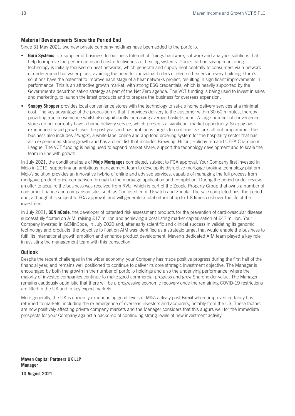#### **Material Developments Since the Period End**

Since 31 May 2021, two new private company holdings have been added to the portfolio.

- **Guru Systems** is a supplier of business-to-business Internet of Things hardware, software and analytics solutions that help to improve the performance and cost-effectiveness of heating systems. Guru's carbon saving monitoring technology is initially focused on heat networks, which generate and supply heat centrally to consumers via a network of underground hot water pipes, avoiding the need for individual boilers or electric heaters in every building. Guru's solutions have the potential to improve each stage of a heat networks project, resulting in significant improvements in performance. This is an attractive growth market, with strong ESG credentials, which is heavily supported by the Government's decarbonisation strategy as part of the Net Zero agenda. The VCT funding is being used to invest in sales and marketing, to launch the latest products and to prepare the business for overseas expansion.
- **Snappy Shopper** provides local convenience stores with the technology to set-up home delivery services at a minimal cost. The key advantage of the proposition is that it provides delivery to the customer within 30-60 minutes, thereby providing true convenience whilst also significantly increasing average basket spend. A large number of convenience stores do not currently have a home delivery service, which presents a significant market opportunity. Snappy has experienced rapid growth over the past year and has ambitious targets to continue its store roll-out programme. The business also includes *Hungrrr*, a white-label online and app food ordering system for the hospitality sector that has also experienced strong growth and has a client list that includes Brewdog, Hilton, Holiday Inn and UEFA Champions League. The VCT funding is being used to expand market share, support the technology development and to scale the team in line with growth.

In July 2021, the conditional sale of **Mojo Mortgages** completed, subject to FCA approval. Your Company first invested in Mojo in 2019, supporting an ambitious management team to develop its disruptive mortgage broking technology platform. Mojo's solution provides an innovative hybrid of online and advised services, capable of managing the full process from mortgage product price comparison through to the mortgage application and completion. During the period under review, an offer to acquire the business was received from RVU, which is part of the Zoopla Property Group that owns a number of consumer finance and comparison sites such as Confused.com, Uswitch and Zoopla. The sale completed post the period end, although it is subject to FCA approval, and will generate a total return of up to 1.8 times cost over the life of the investment.

In July 2021, **GENinCode**, the developer of patented risk assessment products for the prevention of cardiovascular disease, successfully floated on AIM, raising £17 million and achieving a post listing market capitalisation of £42 million. Your Company invested in GENinCode, in July 2020 and, after early scientific and clinical success in validating its genomic technology and products, the objective to float on AIM was identified as a strategic target that would enable the business to fulfil its international growth ambition and enhance product development. Maven's dedicated AIM team played a key role in assisting the management team with this transaction.

#### **Outlook**

Despite the recent challenges in the wider economy, your Company has made positive progress during the first half of the financial year, and remains well positioned to continue to deliver its core strategic investment objective. The Manager is encouraged by both the growth in the number of portfolio holdings and also the underlying performance, where the majority of investee companies continue to make good commercial progress and grow Shareholder value. The Manager remains cautiously optimistic that there will be a progressive economic recovery once the remaining COVID-19 restrictions are lifted in the UK and in key export markets.

More generally, the UK is currently experiencing good levels of M&A activity post Brexit where improved certainty has returned to markets, including the re-emergence of overseas investors and acquirers, notably from the US. These factors are now positively affecting private company markets and the Manager considers that this augurs well for the immediate prospects for your Company against a backdrop of continuing strong levels of new investment activity.

**Maven Capital Partners UK LLP Manager**

**10 August 2021**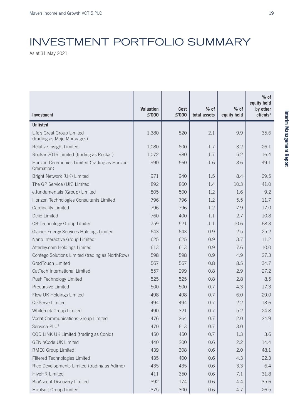## INVESTMENT PORTFOLIO SUMMARY

 $\mathbf{1}$ 

T.

-1

H.

As at 31 May 2021

|                                                              |                           |                      |                        |                       | $%$ of<br>equity held            |
|--------------------------------------------------------------|---------------------------|----------------------|------------------------|-----------------------|----------------------------------|
| Investment                                                   | <b>Valuation</b><br>£'000 | <b>Cost</b><br>£'000 | $%$ of<br>total assets | $%$ of<br>equity held | by other<br>clients <sup>1</sup> |
| <b>Unlisted</b>                                              |                           |                      |                        |                       |                                  |
| Life's Great Group Limited<br>(trading as Mojo Mortgages)    | 1,380                     | 820                  | 2.1                    | 9.9                   | 35.6                             |
| Relative Insight Limited                                     | 1,080                     | 600                  | 1.7                    | 3.2                   | 26.1                             |
| Rockar 2016 Limited (trading as Rockar)                      | 1,072                     | 980                  | 1.7                    | 5.2                   | 16.4                             |
| Horizon Ceremonies Limited (trading as Horizon<br>Cremation) | 990                       | 660                  | 1.6                    | 3.6                   | 49.1                             |
| Bright Network (UK) Limited                                  | 971                       | 940                  | 1.5                    | 8.4                   | 29.5                             |
| The GP Service (UK) Limited                                  | 892                       | 860                  | 1.4                    | 10.3                  | 41.0                             |
| e.fundamentals (Group) Limited                               | 805                       | 500                  | 1.2                    | 1.6                   | 9.2                              |
| Horizon Technologies Consultants Limited                     | 796                       | 796                  | 1.2                    | 5.5                   | 11.7                             |
| Cardinality Limited                                          | 796                       | 796                  | 1.2                    | 7.9                   | 17.0                             |
| Delio Limited                                                | 760                       | 400                  | 1.1                    | 2.7                   | 10.8                             |
| CB Technology Group Limited                                  | 759                       | 521                  | 1.1                    | 10.6                  | 68.3                             |
| <b>Glacier Energy Services Holdings Limited</b>              | 643                       | 643                  | 0.9                    | 2.5                   | 25.2                             |
| Nano Interactive Group Limited                               | 625                       | 625                  | 0.9                    | 3.7                   | 11.2                             |
| Atterley.com Holdings Limited                                | 613                       | 613                  | 0.9                    | 7.6                   | 10.0                             |
| Contego Solutions Limited (trading as NorthRow)              | 598                       | 598                  | 0.9                    | 4.9                   | 27.3                             |
| <b>GradTouch Limited</b>                                     | 567                       | 567                  | 0.8                    | 8.5                   | 34.7                             |
| CatTech International Limited                                | 557                       | 299                  | 0.8                    | 2.9                   | 27.2                             |
| Push Technology Limited                                      | 525                       | 525                  | 0.8                    | 2.8                   | 8.5                              |
| <b>Precursive Limited</b>                                    | 500                       | 500                  | 0.7                    | 4.3                   | 17.3                             |
| Flow UK Holdings Limited                                     | 498                       | 498                  | 0.7                    | 6.0                   | 29.0                             |
| QikServe Limited                                             | 494                       | 494                  | 0.7                    | 2.2                   | 13.6                             |
| Whiterock Group Limited                                      | 490                       | 321                  | 0.7                    | 5.2                   | 24.8                             |
| Vodat Communications Group Limited                           | 476                       | 264                  | 0.7                    | 2.0                   | 24.9                             |
| Servoca PLC <sup>2</sup>                                     | 470                       | 613                  | 0.7                    | 3.0                   |                                  |
| CODILINK UK Limited (trading as Coniq)                       | 450                       | 450                  | 0.7                    | 1.3                   | 3.6                              |
| <b>GENinCode UK Limited</b>                                  | 440                       | 200                  | 0.6                    | 2.2                   | 14.4                             |
| <b>RMEC Group Limited</b>                                    | 439                       | 308                  | 0.6                    | 2.0                   | 48.1                             |
| Filtered Technologies Limited                                | 435                       | 400                  | 0.6                    | 4.3                   | 22.3                             |
| Rico Developments Limited (trading as Adimo)                 | 435                       | 435                  | 0.6                    | 3.3                   | 6.4                              |
| <b>HiveHR Limited</b>                                        | 411                       | 350                  | 0.6                    | 7.1                   | 31.8                             |
| <b>BioAscent Discovery Limited</b>                           | 392                       | 174                  | 0.6                    | 4.4                   | 35.6                             |
| Hublsoft Group Limited                                       | 375                       | 300                  | 0.6                    | 4.7                   | 26.5                             |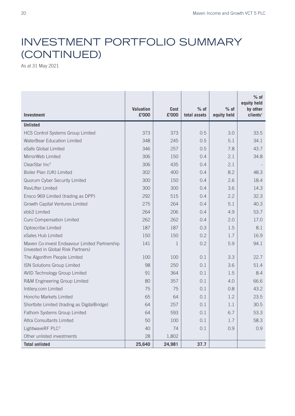## INVESTMENT PORTFOLIO SUMMARY (CONTINUED)

As at 31 May 2021

| <b>Investment</b>                                                                   | <b>Valuation</b><br>£'000 | Cost<br>£'000 | $%$ of<br>total assets | $%$ of<br>equity held | $%$ of<br>equity held<br>by other<br>clients <sup>1</sup> |
|-------------------------------------------------------------------------------------|---------------------------|---------------|------------------------|-----------------------|-----------------------------------------------------------|
| <b>Unlisted</b>                                                                     |                           |               |                        |                       |                                                           |
| <b>HCS Control Systems Group Limited</b>                                            | 373                       | 373           | 0.5                    | 3.0                   | 33.5                                                      |
| WaterBear Education Limited                                                         | 348                       | 245           | 0.5                    | 5.1                   | 34.1                                                      |
| eSafe Global Limited                                                                | 346                       | 257           | 0.5                    | 7.8                   | 43.7                                                      |
| MirrorWeb Limited                                                                   | 306                       | 150           | 0.4                    | 2.1                   | 34.8                                                      |
| ClearStar Inc <sup>2</sup>                                                          | 306                       | 435           | 0.4                    | 2.1                   |                                                           |
| Boiler Plan (UK) Limited                                                            | 302                       | 400           | 0.4                    | 8.2                   | 48.3                                                      |
| Quorum Cyber Security Limited                                                       | 300                       | 150           | 0.4                    | 2.6                   | 18.4                                                      |
| RevLifter Limited                                                                   | 300                       | 300           | 0.4                    | 3.6                   | 14.3                                                      |
| Ensco 969 Limited (trading as DPP)                                                  | 292                       | 515           | 0.4                    | 2.2                   | 32.3                                                      |
| Growth Capital Ventures Limited                                                     | 275                       | 264           | 0.4                    | 5.1                   | 40.3                                                      |
| ebb3 Limited                                                                        | 264                       | 206           | 0.4                    | 4.9                   | 53.7                                                      |
| <b>Curo Compensation Limited</b>                                                    | 262                       | 262           | 0.4                    | 2.0                   | 17.0                                                      |
| Optoscribe Limited                                                                  | 187                       | 187           | 0.3                    | 1.5                   | 8.1                                                       |
| eSales Hub Limited                                                                  | 150                       | 150           | 0.2                    | 1.7                   | 16.9                                                      |
| Maven Co-invest Endeavour Limited Partnership<br>(invested in Global Risk Partners) | 141                       | 1             | 0.2                    | 5.9                   | 94.1                                                      |
| The Algorithm People Limited                                                        | 100                       | 100           | 0.1                    | 3.3                   | 22.7                                                      |
| ISN Solutions Group Limited                                                         | 98                        | 250           | 0.1                    | 3.6                   | 51.4                                                      |
| <b>AVID Technology Group Limited</b>                                                | 91                        | 364           | 0.1                    | 1.5                   | 8.4                                                       |
| R&M Engineering Group Limited                                                       | 80                        | 357           | 0.1                    | 4.0                   | 66.6                                                      |
| Intilery.com Limited                                                                | 75                        | 75            | 0.1                    | 0.8                   | 43.2                                                      |
| Honcho Markets Limited                                                              | 65                        | 64            | 0.1                    | 1.2                   | 23.5                                                      |
| Shortbite Limited (trading as DigitalBridge)                                        | 64                        | 257           | 0.1                    | 1.1                   | 30.5                                                      |
| Fathom Systems Group Limited                                                        | 64                        | 593           | 0.1                    | 6.7                   | 53.3                                                      |
| Altra Consultants Limited                                                           | 50                        | 100           | 0.1                    | 1.7                   | 58.3                                                      |
| LightwaveRF PLC <sup>2</sup>                                                        | 40                        | 74            | 0.1                    | 0.9                   | 0.9                                                       |
| Other unlisted investments                                                          | 28                        | 1,802         |                        |                       |                                                           |
| <b>Total unlisted</b>                                                               | 25,640                    | 24,981        | 37.7                   |                       |                                                           |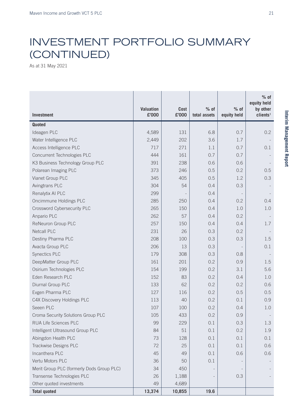### INVESTMENT PORTFOLIO SUMMARY (CONTINUED)

As at 31 May 2021

| <b>Investment</b>                         | <b>Valuation</b><br>£'000 | <b>Cost</b><br>£'000 | $%$ of<br>total assets   | $%$ of<br>equity held | $%$ of<br>equity held<br>by other<br>clients <sup>1</sup> |
|-------------------------------------------|---------------------------|----------------------|--------------------------|-----------------------|-----------------------------------------------------------|
| <b>Quoted</b>                             |                           |                      |                          |                       |                                                           |
| Ideagen PLC                               | 4,589                     | 131                  | 6.8                      | 0.7                   | 0.2                                                       |
| Water Intelligence PLC                    | 2,449                     | 202                  | 3.6                      | 1.7                   |                                                           |
| Access Intelligence PLC                   | 717                       | 271                  | 1.1                      | 0.7                   | 0.1                                                       |
| <b>Concurrent Technologies PLC</b>        | 444                       | 161                  | 0.7                      | 0.7                   |                                                           |
| K3 Business Technology Group PLC          | 391                       | 238                  | 0.6                      | 0.6                   |                                                           |
| Polarean Imaging PLC                      | 373                       | 246                  | 0.5                      | 0.2                   | 0.5                                                       |
| Vianet Group PLC                          | 345                       | 405                  | 0.5                      | 1.2                   | 0.3                                                       |
| Avingtrans PLC                            | 304                       | 54                   | 0.4                      | 0.3                   |                                                           |
| Renalytix AI PLC                          | 299                       |                      | 0.4                      |                       |                                                           |
| Oncimmune Holdings PLC                    | 285                       | 250                  | 0.4                      | 0.2                   | 0.4                                                       |
| Crossword Cybersecurity PLC               | 265                       | 150                  | 0.4                      | 1.0                   | 1.0                                                       |
| Anpario PLC                               | 262                       | 57                   | 0.4                      | 0.2                   |                                                           |
| ReNeuron Group PLC                        | 257                       | 150                  | 0.4                      | 0.4                   | 1.7                                                       |
| <b>Netcall PLC</b>                        | 231                       | 26                   | 0.3                      | 0.2                   |                                                           |
| Destiny Pharma PLC                        | 208                       | 100                  | 0.3                      | 0.3                   | 1.5                                                       |
| Avacta Group PLC                          | 206                       | 13                   | 0.3                      |                       | 0.1                                                       |
| <b>Synectics PLC</b>                      | 179                       | 308                  | 0.3                      | 0.8                   |                                                           |
| DeepMatter Group PLC                      | 161                       | 201                  | 0.2                      | 0.9                   | 1.5                                                       |
| Osirium Technologies PLC                  | 154                       | 199                  | 0.2                      | 3.1                   | 5.6                                                       |
| Eden Research PLC                         | 152                       | 83                   | 0.2                      | 0.4                   | 1.0                                                       |
| Diurnal Group PLC                         | 133                       | 62                   | 0.2                      | 0.2                   | 0.6                                                       |
| Evgen Pharma PLC                          | 127                       | 116                  | 0.2                      | 0.5                   | 0.5                                                       |
| C4X Discovery Holdings PLC                | 113                       | 40                   | 0.2                      | 0.1                   | 0.9                                                       |
| Seeen PLC                                 | 107                       | 100                  | 0.2                      | 0.4                   | 1.0                                                       |
| Croma Security Solutions Group PLC        | 105                       | 433                  | 0.2                      | 0.9                   |                                                           |
| RUA Life Sciences PLC                     | 99                        | 229                  | 0.1                      | 0.3                   | 1.3                                                       |
| Intelligent Ultrasound Group PLC          | 84                        | 51                   | 0.1                      | 0.2                   | 1.9                                                       |
| Abingdon Health PLC                       | 73                        | 128                  | 0.1                      | 0.1                   | 0.1                                                       |
| Trackwise Designs PLC                     | 72                        | 25                   | 0.1                      | 0.1                   | 0.6                                                       |
| Incanthera PLC                            | 45                        | 49                   | 0.1                      | 0.6                   | 0.6                                                       |
| Vertu Motors PLC                          | 36                        | 50                   | 0.1                      |                       |                                                           |
| Merit Group PLC (formerly Dods Group PLC) | 34                        | 450                  |                          |                       |                                                           |
| Transense Technologies PLC                | 26                        | 1,188                | $\overline{\phantom{a}}$ | 0.3                   |                                                           |
| Other quoted investments                  | 49                        | 4,689                |                          |                       |                                                           |
| <b>Total quoted</b>                       | 13,374                    | 10,855               | 19.6                     |                       |                                                           |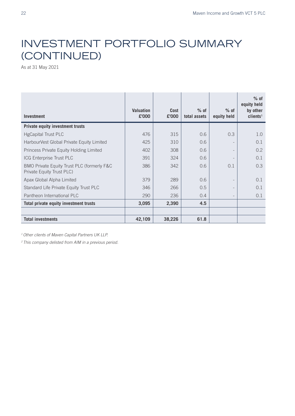## INVESTMENT PORTFOLIO SUMMARY (CONTINUED)

As at 31 May 2021

| <b>Investment</b>                                                       | <b>Valuation</b><br>£'000 | Cost<br>£'000 | $%$ of<br>total assets | $%$ of<br>equity held | $%$ of<br>equity held<br>by other<br>clients <sup>1</sup> |
|-------------------------------------------------------------------------|---------------------------|---------------|------------------------|-----------------------|-----------------------------------------------------------|
| <b>Private equity investment trusts</b>                                 |                           |               |                        |                       |                                                           |
| <b>HgCapital Trust PLC</b>                                              | 476                       | 315           | 0.6                    | 0.3                   | 1.0                                                       |
| HarbourVest Global Private Equity Limited                               | 425                       | 310           | 0.6                    |                       | 0.1                                                       |
| Princess Private Equity Holding Limited                                 | 402                       | 308           | 0.6                    |                       | 0.2                                                       |
| ICG Enterprise Trust PLC                                                | 391                       | 324           | 0.6                    |                       | 0.1                                                       |
| BMO Private Equity Trust PLC (formerly F&C<br>Private Equity Trust PLC) | 386                       | 342           | 0.6                    | 0.1                   | 0.3                                                       |
| Apax Global Alpha Limited                                               | 379                       | 289           | 0.6                    |                       | 0.1                                                       |
| Standard Life Private Equity Trust PLC                                  | 346                       | 266           | 0.5                    |                       | 0.1                                                       |
| Pantheon International PLC                                              | 290                       | 236           | 0.4                    |                       | 0.1                                                       |
| Total private equity investment trusts                                  | 3,095                     | 2,390         | 4.5                    |                       |                                                           |
|                                                                         |                           |               |                        |                       |                                                           |
| <b>Total investments</b>                                                | 42,109                    | 38,226        | 61.8                   |                       |                                                           |

*1 Other clients of Maven Capital Partners UK LLP.*

*2 This company delisted from AIM in a previous period.*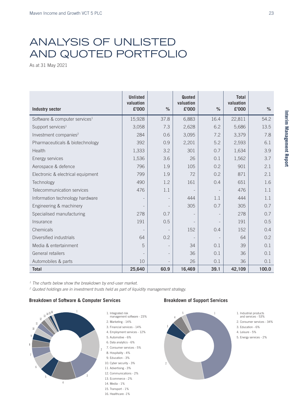### ANALYSIS OF UNLISTED AND QUOTED PORTFOLIO

As at 31 May 2021

| <b>Industry sector</b>                    | <b>Unlisted</b><br>valuation<br>£'000 | $\frac{9}{6}$            | Quoted<br>valuation<br>£'000 | $\frac{9}{6}$ | <b>Total</b><br>valuation<br>£'000 | $\%$  |
|-------------------------------------------|---------------------------------------|--------------------------|------------------------------|---------------|------------------------------------|-------|
| Software & computer services <sup>1</sup> | 15,928                                | 37.8                     | 6,883                        | 16.4          | 22,811                             | 54.2  |
| Support services <sup>1</sup>             | 3,058                                 | 7.3                      | 2,628                        | 6.2           | 5,686                              | 13.5  |
| Investment companies <sup>2</sup>         | 284                                   | 0.6                      | 3,095                        | 7.2           | 3,379                              | 7.8   |
| Pharmaceuticals & biotechnology           | 392                                   | 0.9                      | 2,201                        | 5.2           | 2,593                              | 6.1   |
| Health                                    | 1,333                                 | 3.2                      | 301                          | 0.7           | 1,634                              | 3.9   |
| Energy services                           | 1,536                                 | 3.6                      | 26                           | 0.1           | 1,562                              | 3.7   |
| Aerospace & defence                       | 796                                   | 1.9                      | 105                          | 0.2           | 901                                | 2.1   |
| Electronic & electrical equipment         | 799                                   | 1.9                      | 72                           | 0.2           | 871                                | 2.1   |
| Technology                                | 490                                   | 1.2                      | 161                          | 0.4           | 651                                | 1.6   |
| Telecommunication services                | 476                                   | 1.1                      |                              |               | 476                                | 1.1   |
| Information technology hardware           |                                       |                          | 444                          | 1.1           | 444                                | 1.1   |
| Engineering & machinery                   |                                       |                          | 305                          | 0.7           | 305                                | 0.7   |
| Specialised manufacturing                 | 278                                   | 0.7                      | $\overline{\phantom{0}}$     |               | 278                                | 0.7   |
| Insurance                                 | 191                                   | 0.5                      |                              |               | 191                                | 0.5   |
| Chemicals                                 |                                       |                          | 152                          | 0.4           | 152                                | 0.4   |
| Diversified industrials                   | 64                                    | 0.2                      | $\overline{\phantom{a}}$     |               | 64                                 | 0.2   |
| Media & entertainment                     | 5                                     | $\overline{\phantom{a}}$ | 34                           | 0.1           | 39                                 | 0.1   |
| General retailers                         |                                       | $\overline{\phantom{a}}$ | 36                           | 0.1           | 36                                 | 0.1   |
| Automobiles & parts                       | 10                                    | $\overline{a}$           | 26                           | 0.1           | 36                                 | 0.1   |
| <b>Total</b>                              | 25,640                                | 60.9                     | 16,469                       | 39.1          | 42,109                             | 100.0 |

*1 The charts below show the breakdown by end-user market.*

*2 Quoted holdings are in investment trusts held as part of liquidity management strategy.*

#### **Breakdown of Software & Computer Services Breakdown of Support Services** Breakdown of Software & Computer Services





2. Marketing - 14%

- 3. Financial services 14% 4. Employment services - 12%
- 5. Automotive 6%
- 6. Data analytics 6%
- 7. Consumer services 5%
- 8. Hospitality 4%
- 9. Education 3%
- 
- 10. Cyber security 3%
- 11. Advertising 3%
- 12. Communications 2%
- 13. Ecommerce 2%
- 14. Media 1%
- 15. Transport 1%
- 16. Healthcare -1%



- 1. Industrial products and services - 53%
- 2. Consumer services 34%
- 3. Education 6%
- 4. Leisure 5%
- 5. Energy services 2%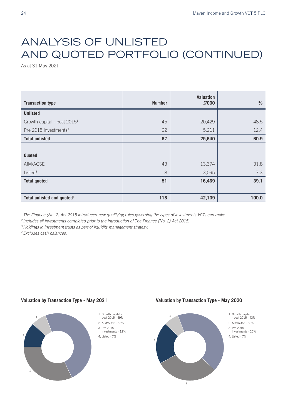## ANALYSIS OF UNLISTED AND QUOTED PORTFOLIO (CONTINUED)

As at 31 May 2021

| <b>Transaction type</b>                 | <b>Number</b> | Valuation<br>£'000 | $\%$  |
|-----------------------------------------|---------------|--------------------|-------|
| <b>Unlisted</b>                         |               |                    |       |
| Growth capital - post 2015 <sup>1</sup> | 45            | 20,429             | 48.5  |
| Pre 2015 investments <sup>2</sup>       | 22            | 5,211              | 12.4  |
| <b>Total unlisted</b>                   | 67            | 25,640             | 60.9  |
|                                         |               |                    |       |
| <b>Quoted</b>                           |               |                    |       |
| AIM/AQSE                                | 43            | 13,374             | 31.8  |
| Listed <sup>3</sup>                     | 8             | 3,095              | 7.3   |
| <b>Total quoted</b>                     | 51            | 16,469             | 39.1  |
|                                         |               |                    |       |
| Total unlisted and quoted <sup>4</sup>  | 118           | 42,109             | 100.0 |

<sup>1</sup> The Finance (No. 2) Act 2015 introduced new qualifying rules governing the types of investments VCTs can make.

<sup>2</sup> Includes all investments completed prior to the introduction of The Finance (No. 2) Act 2015.

<sup>3</sup> Holdings in investment trusts as part of liquidity management strategy.

*4 Excludes cash balances.*

#### **Valuation by Transaction Type - May 2021 Valuation by Transaction Type - May 2020**



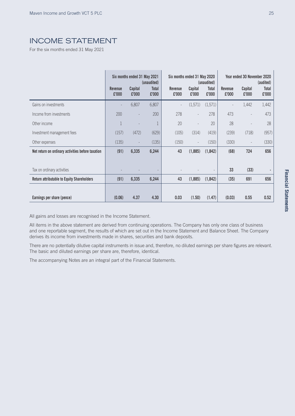### INCOME STATEMENT

For the six months ended 31 May 2021

|                                                   | <b>Revenue</b><br>£'000 | Six months ended 31 May 2021<br>Capital<br>£'000 | (unaudited)<br><b>Total</b><br>£'000 | Six months ended 31 May 2020<br>Revenue<br>£'000 | Capital<br>£'000         | (unaudited)<br>Total<br>£'000 | Revenue<br>£'000 | Year ended 30 November 2020<br>Capital<br>£'000 | (audited)<br>Total<br>£'000 |
|---------------------------------------------------|-------------------------|--------------------------------------------------|--------------------------------------|--------------------------------------------------|--------------------------|-------------------------------|------------------|-------------------------------------------------|-----------------------------|
| Gains on investments                              |                         | 6,807                                            | 6,807                                | $\overline{\phantom{m}}$                         | (1,571)                  | (1,571)                       |                  | 1,442                                           | 1,442                       |
| Income from investments                           | 200                     |                                                  | 200                                  | 278                                              | $\sim$                   | 278                           | 473              |                                                 | 473                         |
| Other income                                      | 1                       |                                                  |                                      | 20                                               | $\overline{\phantom{a}}$ | 20                            | 28               | $\overline{\phantom{a}}$                        | 28                          |
| Investment management fees                        | (157)                   | (472)                                            | (629)                                | (105)                                            | (314)                    | (419)                         | (239)            | (718)                                           | (957)                       |
| Other expenses                                    | (135)                   | $\overline{\phantom{a}}$                         | (135)                                | (150)                                            | $\overline{\phantom{a}}$ | (150)                         | (330)            | $\overline{\phantom{a}}$                        | (330)                       |
| Net return on ordinary activities before taxation | (91)                    | 6,335                                            | 6,244                                | 43                                               | (1,885)                  | (1,842)                       | (68)             | 724                                             | 656                         |
|                                                   |                         |                                                  |                                      |                                                  |                          |                               |                  |                                                 |                             |
| Tax on ordinary activities                        |                         |                                                  |                                      |                                                  |                          |                               | 33               | (33)                                            |                             |
| <b>Return attributable to Equity Shareholders</b> | (91)                    | 6,335                                            | 6,244                                | 43                                               | (1,885)                  | (1,842)                       | (35)             | 691                                             | 656                         |
|                                                   |                         |                                                  |                                      |                                                  |                          |                               |                  |                                                 |                             |
| Earnings per share (pence)                        | (0.06)                  | 4.37                                             | 4.30                                 | 0.03                                             | (1.50)                   | (1.47)                        | (0.03)           | 0.55                                            | 0.52                        |

All gains and losses are recognised in the Income Statement.

All items in the above statement are derived from continuing operations. The Company has only one class of business and one reportable segment, the results of which are set out in the Income Statement and Balance Sheet. The Company derives its income from investments made in shares, securities and bank deposits.

There are no potentially dilutive capital instruments in issue and, therefore, no diluted earnings per share figures are relevant. The basic and diluted earnings per share are, therefore, identical.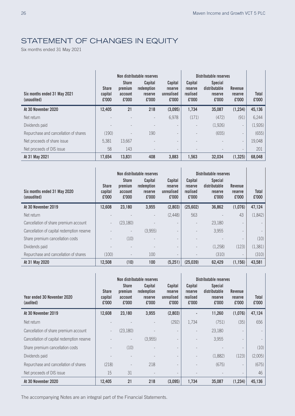$\mathbf{I}$ 

### STATEMENT OF CHANGES IN EQUITY

Six months ended 31 May 2021

|                                             |                                  |                                             | Non distributable reserves                       |                                           |                                         | Distributable reserves                              |                                           |                       |
|---------------------------------------------|----------------------------------|---------------------------------------------|--------------------------------------------------|-------------------------------------------|-----------------------------------------|-----------------------------------------------------|-------------------------------------------|-----------------------|
| Six months ended 31 May 2021<br>(unaudited) | <b>Share</b><br>capital<br>£'000 | <b>Share</b><br>premium<br>account<br>£'000 | Capital<br>redemption<br><b>reserve</b><br>£'000 | Capital<br>reserve<br>unrealised<br>£'000 | Capital<br>reserve<br>realised<br>£'000 | <b>Special</b><br>distributable<br>reserve<br>£'000 | <b>Revenue</b><br><b>reserve</b><br>£'000 | <b>Total</b><br>£'000 |
| At 30 November 2020                         | 12,405                           | 21                                          | 218                                              | (3,095)                                   | 1,734                                   | 35,087                                              | (1, 234)                                  | 45,136                |
| Net return                                  |                                  |                                             |                                                  | 6,978                                     | (171)                                   | (472)                                               | (91)                                      | 6,244                 |
| Dividends paid                              |                                  |                                             |                                                  |                                           |                                         | (1,926)                                             | $\overline{\phantom{a}}$                  | (1,926)               |
| Repurchase and cancellation of shares       | (190)                            |                                             | 190                                              | $\overline{\phantom{a}}$                  |                                         | (655)                                               | $\overline{\phantom{a}}$                  | (655)                 |
| Net proceeds of share issue                 | 5,381                            | 13,667                                      |                                                  |                                           |                                         |                                                     | $\overline{\phantom{a}}$                  | 19,048                |
| Net proceeds of DIS issue                   | 58                               | 143                                         | $\overline{a}$                                   | $\overline{\phantom{a}}$                  |                                         |                                                     | $\overline{\phantom{a}}$                  | 201                   |
| At 31 May 2021                              | 17,654                           | 13,831                                      | 408                                              | 3,883                                     | 1,563                                   | 32,034                                              | (1, 325)                                  | 68,048                |

|                                             |                                  | <b>Share</b>                | Non distributable reserves<br>Capital | Capital                        | Capital                      | Distributable reserves<br><b>Special</b> |                                           |                       |
|---------------------------------------------|----------------------------------|-----------------------------|---------------------------------------|--------------------------------|------------------------------|------------------------------------------|-------------------------------------------|-----------------------|
| Six months ended 31 May 2020<br>(unaudited) | <b>Share</b><br>capital<br>£'000 | premium<br>account<br>£'000 | redemption<br>reserve<br>£'000        | reserve<br>unrealised<br>£'000 | reserve<br>realised<br>£'000 | distributable<br>reserve<br>£'000        | <b>Revenue</b><br><b>reserve</b><br>£'000 | <b>Total</b><br>£'000 |
| At 30 November 2019                         | 12,608                           | 23,180                      | 3,955                                 | (2,803)                        | (25,602)                     | 36,862                                   | (1,076)                                   | 47,124                |
| Net return                                  |                                  |                             | $\overline{\phantom{a}}$              | (2,448)                        | 563                          |                                          | 43                                        | (1,842)               |
| Cancellation of share premium account       | $\overline{\phantom{a}}$         | (23.180)                    |                                       |                                | $\qquad \qquad -$            | 23,180                                   |                                           |                       |
| Cancellation of capital redemption reserve  |                                  | $\overline{\phantom{a}}$    | (3,955)                               |                                |                              | 3,955                                    |                                           |                       |
| Share premium cancellation costs            |                                  | (10)                        |                                       |                                |                              |                                          |                                           | (10)                  |
| Dividends paid                              |                                  |                             |                                       |                                |                              | (1,258)                                  | (123)                                     | (1, 381)              |
| Repurchase and cancellation of shares       | (100)                            | $\overline{\phantom{a}}$    | 100                                   | $\qquad \qquad -$              |                              | (310)                                    |                                           | (310)                 |
| At 31 May 2020                              | 12,508                           | (10)                        | 100                                   | (5,251)                        | (25.039)                     | 62,429                                   | (1, 156)                                  | 43,581                |

|                                            |                                  |                                             | Non distributable reserves                |                                           |                                         | Distributable reserves                              |                                    |                       |
|--------------------------------------------|----------------------------------|---------------------------------------------|-------------------------------------------|-------------------------------------------|-----------------------------------------|-----------------------------------------------------|------------------------------------|-----------------------|
| Year ended 30 November 2020<br>(audited)   | <b>Share</b><br>capital<br>£'000 | <b>Share</b><br>premium<br>account<br>£'000 | Capital<br>redemption<br>reserve<br>£'000 | Capital<br>reserve<br>unrealised<br>£'000 | Capital<br>reserve<br>realised<br>£'000 | <b>Special</b><br>distributable<br>reserve<br>£'000 | <b>Revenue</b><br>reserve<br>£'000 | <b>Total</b><br>£'000 |
| At 30 November 2019                        | 12,608                           | 23,180                                      | 3,955                                     | (2,803)                                   |                                         | 11,260                                              | (1,076)                            | 47,124                |
| Net return                                 |                                  |                                             |                                           | (292)                                     | 1,734                                   | (751)                                               | (35)                               | 656                   |
| Cancellation of share premium account      |                                  | (23, 180)                                   |                                           |                                           |                                         | 23,180                                              |                                    |                       |
| Cancellation of capital redemption reserve |                                  |                                             | (3,955)                                   |                                           |                                         | 3,955                                               |                                    |                       |
| Share premium cancellation costs           |                                  | (10)                                        |                                           |                                           |                                         |                                                     |                                    | (10)                  |
| Dividends paid                             |                                  |                                             |                                           |                                           |                                         | (1,882)                                             | (123)                              | (2,005)               |
| Repurchase and cancellation of shares      | (218)                            |                                             | 218                                       |                                           |                                         | (675)                                               |                                    | (675)                 |
| Net proceeds of DIS issue                  | 15                               | 31                                          |                                           |                                           |                                         |                                                     |                                    | 46                    |
| At 30 November 2020                        | 12,405                           | 21                                          | 218                                       | (3,095)                                   | 1,734                                   | 35,087                                              | (1, 234)                           | 45,136                |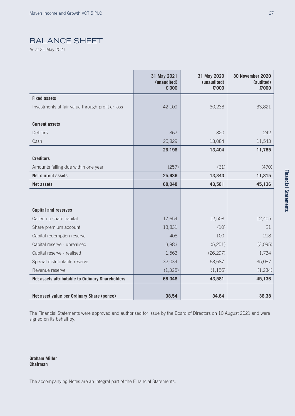### BALANCE SHEET

As at 31 May 2021

|                                                  | 31 May 2021<br>(unaudited)<br>£'000 | 31 May 2020<br>(unaudited)<br>£'000 | <b>30 November 2020</b><br>(audited)<br>£'000 |
|--------------------------------------------------|-------------------------------------|-------------------------------------|-----------------------------------------------|
| <b>Fixed assets</b>                              |                                     |                                     |                                               |
| Investments at fair value through profit or loss | 42,109                              | 30,238                              | 33,821                                        |
|                                                  |                                     |                                     |                                               |
| <b>Current assets</b>                            |                                     |                                     |                                               |
| Debtors                                          | 367                                 | 320                                 | 242                                           |
| Cash                                             | 25,829                              | 13,084                              | 11,543                                        |
|                                                  | 26,196                              | 13,404                              | 11,785                                        |
| <b>Creditors</b>                                 |                                     |                                     |                                               |
| Amounts falling due within one year              | (257)                               | (61)                                | (470)                                         |
| <b>Net current assets</b>                        | 25,939                              | 13,343                              | 11,315                                        |
| <b>Net assets</b>                                | 68,048                              | 43,581                              | 45,136                                        |
|                                                  |                                     |                                     |                                               |
|                                                  |                                     |                                     |                                               |
| <b>Capital and reserves</b>                      |                                     |                                     |                                               |
| Called up share capital                          | 17,654                              | 12,508                              | 12,405                                        |
| Share premium account                            | 13,831                              | (10)                                | 21                                            |
| Capital redemption reserve                       | 408                                 | 100                                 | 218                                           |
| Capital reserve - unrealised                     | 3,883                               | (5,251)                             | (3,095)                                       |
| Capital reserve - realised                       | 1,563                               | (26, 297)                           | 1,734                                         |
| Special distributable reserve                    | 32,034                              | 63,687                              | 35,087                                        |
| Revenue reserve                                  | (1, 325)                            | (1, 156)                            | (1,234)                                       |
| Net assets attributable to Ordinary Shareholders | 68,048                              | 43,581                              | 45,136                                        |
| Net asset value per Ordinary Share (pence)       | 38.54                               | 34.84                               | 36.38                                         |

The Financial Statements were approved and authorised for issue by the Board of Directors on 10 August 2021 and were signed on its behalf by:

**Graham Miller Chairman**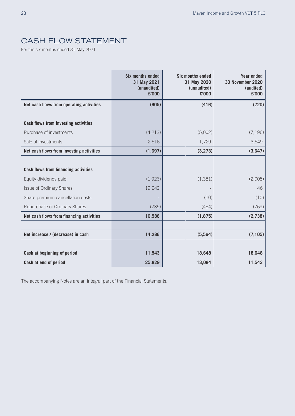### CASH FLOW STATEMENT

For the six months ended 31 May 2021

|                                             | <b>Six months ended</b><br>31 May 2021<br>(unaudited)<br>£'000 | <b>Six months ended</b><br>31 May 2020<br>(unaudited)<br>£'000 | <b>Year ended</b><br><b>30 November 2020</b><br>(audited)<br>£'000 |
|---------------------------------------------|----------------------------------------------------------------|----------------------------------------------------------------|--------------------------------------------------------------------|
| Net cash flows from operating activities    | (605)                                                          | (416)                                                          | (720)                                                              |
|                                             |                                                                |                                                                |                                                                    |
| <b>Cash flows from investing activities</b> |                                                                |                                                                |                                                                    |
| Purchase of investments                     | (4,213)                                                        | (5,002)                                                        | (7, 196)                                                           |
| Sale of investments                         | 2,516                                                          | 1,729                                                          | 3,549                                                              |
| Net cash flows from investing activities    | (1,697)                                                        | (3,273)                                                        | (3,647)                                                            |
|                                             |                                                                |                                                                |                                                                    |
| Cash flows from financing activities        |                                                                |                                                                |                                                                    |
| Equity dividends paid                       | (1,926)                                                        | (1, 381)                                                       | (2,005)                                                            |
| <b>Issue of Ordinary Shares</b>             | 19,249                                                         |                                                                | 46                                                                 |
| Share premium cancellation costs            |                                                                | (10)                                                           | (10)                                                               |
| Repurchase of Ordinary Shares               | (735)                                                          | (484)                                                          | (769)                                                              |
| Net cash flows from financing activities    | 16,588                                                         | (1, 875)                                                       | (2,738)                                                            |
|                                             |                                                                |                                                                |                                                                    |
| Net increase / (decrease) in cash           | 14,286                                                         | (5,564)                                                        | (7, 105)                                                           |
|                                             |                                                                |                                                                |                                                                    |
| Cash at beginning of period                 | 11,543                                                         | 18,648                                                         | 18,648                                                             |
| Cash at end of period                       | 25,829                                                         | 13,084                                                         | 11,543                                                             |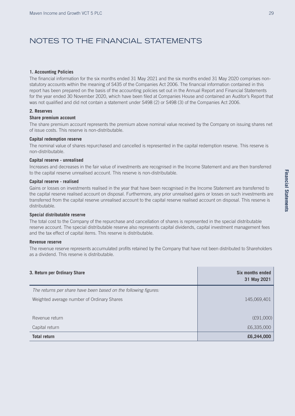### NOTES TO THE FINANCIAL STATEMENTS

#### **1. Accounting Policies**

The financial information for the six months ended 31 May 2021 and the six months ended 31 May 2020 comprises nonstatutory accounts within the meaning of S435 of the Companies Act 2006. The financial information contained in this report has been prepared on the basis of the accounting policies set out in the Annual Report and Financial Statements for the year ended 30 November 2020, which have been filed at Companies House and contained an Auditor's Report that was not qualified and did not contain a statement under S498 (2) or S498 (3) of the Companies Act 2006.

#### **2. Reserves**

#### **Share premium account**

The share premium account represents the premium above nominal value received by the Company on issuing shares net of issue costs. This reserve is non-distributable.

#### **Capital redemption reserve**

The nominal value of shares repurchased and cancelled is represented in the capital redemption reserve. This reserve is non-distributable.

#### **Capital reserve - unrealised**

Increases and decreases in the fair value of investments are recognised in the Income Statement and are then transferred to the capital reserve unrealised account. This reserve is non-distributable.

#### **Capital reserve - realised**

Gains or losses on investments realised in the year that have been recognised in the Income Statement are transferred to the capital reserve realised account on disposal. Furthermore, any prior unrealised gains or losses on such investments are transferred from the capital reserve unrealised account to the capital reserve realised account on disposal. This reserve is distributable.

#### **Special distributable reserve**

The total cost to the Company of the repurchase and cancellation of shares is represented in the special distributable reserve account. The special distributable reserve also represents capital dividends, capital investment management fees and the tax effect of capital items. This reserve is distributable.

#### **Revenue reserve**

The revenue reserve represents accumulated profits retained by the Company that have not been distributed to Shareholders as a dividend. This reserve is distributable.

| 3. Return per Ordinary Share                                    | Six months ended<br>31 May 2021 |
|-----------------------------------------------------------------|---------------------------------|
| The returns per share have been based on the following figures: |                                 |
| Weighted average number of Ordinary Shares                      | 145,069,401                     |
| Revenue return                                                  | (E91,000)                       |
| Capital return                                                  | £6,335,000                      |
| <b>Total return</b>                                             | £6,244,000                      |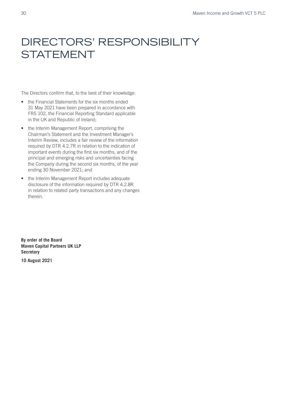## DIRECTORS' RESPONSIBILITY **STATEMENT**

The Directors confirm that, to the best of their knowledge:

- the Financial Statements for the six months ended 31 May 2021 have been prepared in accordance with FRS 102, the Financial Reporting Standard applicable in the UK and Republic of Ireland;
- the Interim Management Report, comprising the Chairman's Statement and the Investment Manager's Interim Review, includes a fair review of the information required by DTR 4.2.7R in relation to the indication of important events during the first six months, and of the principal and emerging risks and uncertainties facing the Company during the second six months, of the year ending 30 November 2021; and
- the Interim Management Report includes adequate disclosure of the information required by DTR 4.2.8R in relation to related party transactions and any changes therein.

**By order of the Board Maven Capital Partners UK LLP Secretary**

**10 August 2021**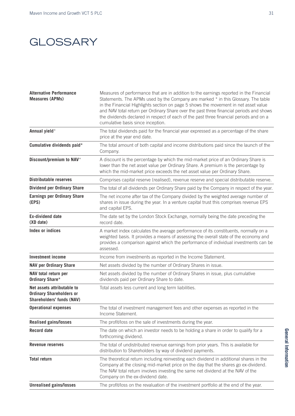### **GLOSSARY**

| <b>Alternative Performance</b><br><b>Measures (APMs)</b>                                          | Measures of performance that are in addition to the earnings reported in the Financial<br>Statements. The APMs used by the Company are marked * in this Glossary. The table<br>in the Financial Highlights section on page 5 shows the movement in net asset value<br>and NAV total return per Ordinary Share over the past three financial periods and shows<br>the dividends declared in respect of each of the past three financial periods and on a<br>cumulative basis since inception. |
|---------------------------------------------------------------------------------------------------|----------------------------------------------------------------------------------------------------------------------------------------------------------------------------------------------------------------------------------------------------------------------------------------------------------------------------------------------------------------------------------------------------------------------------------------------------------------------------------------------|
| Annual yield*                                                                                     | The total dividends paid for the financial year expressed as a percentage of the share<br>price at the year end date.                                                                                                                                                                                                                                                                                                                                                                        |
| Cumulative dividends paid*                                                                        | The total amount of both capital and income distributions paid since the launch of the<br>Company.                                                                                                                                                                                                                                                                                                                                                                                           |
| Discount/premium to NAV*                                                                          | A discount is the percentage by which the mid-market price of an Ordinary Share is<br>lower than the net asset value per Ordinary Share. A premium is the percentage by<br>which the mid-market price exceeds the net asset value per Ordinary Share.                                                                                                                                                                                                                                        |
| <b>Distributable reserves</b>                                                                     | Comprises capital reserve (realised), revenue reserve and special distributable reserve.                                                                                                                                                                                                                                                                                                                                                                                                     |
| <b>Dividend per Ordinary Share</b>                                                                | The total of all dividends per Ordinary Share paid by the Company in respect of the year.                                                                                                                                                                                                                                                                                                                                                                                                    |
| <b>Earnings per Ordinary Share</b><br>(EPS)                                                       | The net income after tax of the Company divided by the weighted average number of<br>shares in issue during the year. In a venture capital trust this comprises revenue EPS<br>and capital EPS.                                                                                                                                                                                                                                                                                              |
| <b>Ex-dividend date</b><br>(XD date)                                                              | The date set by the London Stock Exchange, normally being the date preceding the<br>record date.                                                                                                                                                                                                                                                                                                                                                                                             |
| Index or indices                                                                                  | A market index calculates the average performance of its constituents, normally on a<br>weighted basis. It provides a means of assessing the overall state of the economy and<br>provides a comparison against which the performance of individual investments can be<br>assessed.                                                                                                                                                                                                           |
| <b>Investment income</b>                                                                          | Income from investments as reported in the Income Statement.                                                                                                                                                                                                                                                                                                                                                                                                                                 |
| <b>NAV per Ordinary Share</b>                                                                     | Net assets divided by the number of Ordinary Shares in issue.                                                                                                                                                                                                                                                                                                                                                                                                                                |
| NAV total return per<br><b>Ordinary Share*</b>                                                    | Net assets divided by the number of Ordinary Shares in issue, plus cumulative<br>dividends paid per Ordinary Share to date.                                                                                                                                                                                                                                                                                                                                                                  |
| Net assets attributable to<br><b>Ordinary Shareholders or</b><br><b>Shareholders' funds (NAV)</b> | Total assets less current and long term liabilities.                                                                                                                                                                                                                                                                                                                                                                                                                                         |
| <b>Operational expenses</b>                                                                       | The total of investment management fees and other expenses as reported in the<br>Income Statement.                                                                                                                                                                                                                                                                                                                                                                                           |
| <b>Realised gains/losses</b>                                                                      | The profit/loss on the sale of investments during the year.                                                                                                                                                                                                                                                                                                                                                                                                                                  |
| <b>Record date</b>                                                                                | The date on which an investor needs to be holding a share in order to qualify for a<br>forthcoming dividend.                                                                                                                                                                                                                                                                                                                                                                                 |
| <b>Revenue reserves</b>                                                                           | The total of undistributed revenue earnings from prior years. This is available for<br>distribution to Shareholders by way of dividend payments.                                                                                                                                                                                                                                                                                                                                             |
| <b>Total return</b>                                                                               | The theoretical return including reinvesting each dividend in additional shares in the<br>Company at the closing mid-market price on the day that the shares go ex-dividend.<br>The NAV total return involves investing the same net dividend at the NAV of the<br>Company on the ex-dividend date.                                                                                                                                                                                          |
| <b>Unrealised gains/losses</b>                                                                    | The profit/loss on the revaluation of the investment portfolio at the end of the year.                                                                                                                                                                                                                                                                                                                                                                                                       |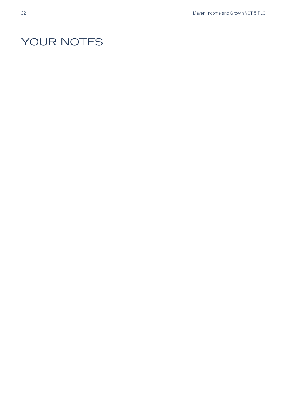## YOUR NOTES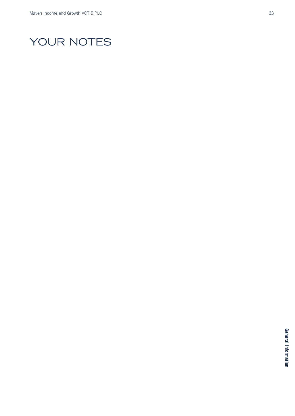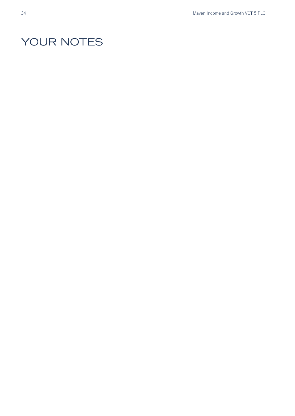## YOUR NOTES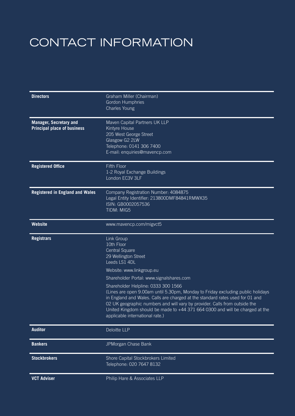## CONTACT INFORMATION

| <b>Directors</b>                                                    | Graham Miller (Chairman)<br><b>Gordon Humphries</b><br>Charles Young                                                                                                                                                                                                                                                                                                                                     |
|---------------------------------------------------------------------|----------------------------------------------------------------------------------------------------------------------------------------------------------------------------------------------------------------------------------------------------------------------------------------------------------------------------------------------------------------------------------------------------------|
| <b>Manager, Secretary and</b><br><b>Principal place of business</b> | Maven Capital Partners UK LLP<br>Kintyre House<br>205 West George Street<br>Glasgow G2 2LW<br>Telephone: 0141 306 7400<br>E-mail: enquiries@mavencp.com                                                                                                                                                                                                                                                  |
| <b>Registered Office</b>                                            | <b>Fifth Floor</b><br>1-2 Royal Exchange Buildings<br>London EC3V 3LF                                                                                                                                                                                                                                                                                                                                    |
| <b>Registered in England and Wales</b>                              | Company Registration Number: 4084875<br>Legal Entity Identifier: 213800DMF84841RMWX35<br>ISIN: GB0002057536<br>TIDM: MIG5                                                                                                                                                                                                                                                                                |
| <b>Website</b>                                                      | www.mavencp.com/migvct5                                                                                                                                                                                                                                                                                                                                                                                  |
| <b>Registrars</b>                                                   | Link Group<br>10th Floor<br>Central Square<br>29 Wellington Street<br>Leeds LS1 4DL                                                                                                                                                                                                                                                                                                                      |
|                                                                     | Website: www.linkgroup.eu                                                                                                                                                                                                                                                                                                                                                                                |
|                                                                     | Shareholder Portal: www.signalshares.com                                                                                                                                                                                                                                                                                                                                                                 |
|                                                                     | Shareholder Helpline: 0333 300 1566<br>(Lines are open 9.00am until 5.30pm, Monday to Friday excluding public holidays<br>in England and Wales. Calls are charged at the standard rates used for 01 and<br>02 UK geographic numbers and will vary by provider. Calls from outside the<br>United Kingdom should be made to +44 371 664 0300 and will be charged at the<br>applicable international rate.) |
| <b>Auditor</b>                                                      | Deloitte LLP                                                                                                                                                                                                                                                                                                                                                                                             |
| <b>Bankers</b>                                                      | JPMorgan Chase Bank                                                                                                                                                                                                                                                                                                                                                                                      |
| <b>Stockbrokers</b>                                                 | Shore Capital Stockbrokers Limited<br>Telephone: 020 7647 8132                                                                                                                                                                                                                                                                                                                                           |
|                                                                     |                                                                                                                                                                                                                                                                                                                                                                                                          |